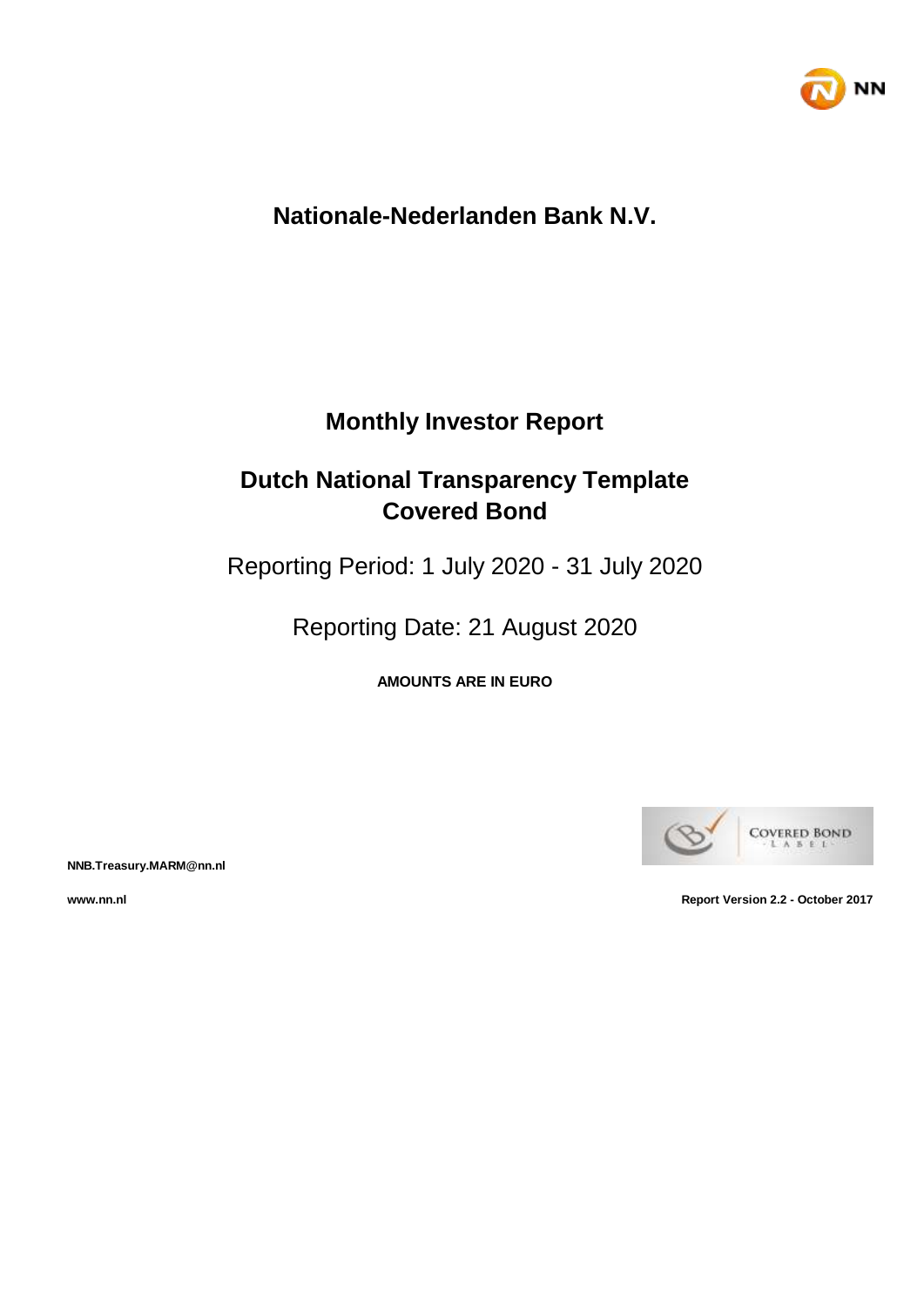

# **Nationale-Nederlanden Bank N.V.**

# **Monthly Investor Report**

# **Dutch National Transparency Template Covered Bond**

Reporting Period: 1 July 2020 - 31 July 2020

Reporting Date: 21 August 2020

**AMOUNTS ARE IN EURO**



**NNB.Treasury.MARM@nn.nl**

**www.nn.nl Report Version 2.2 - October 2017**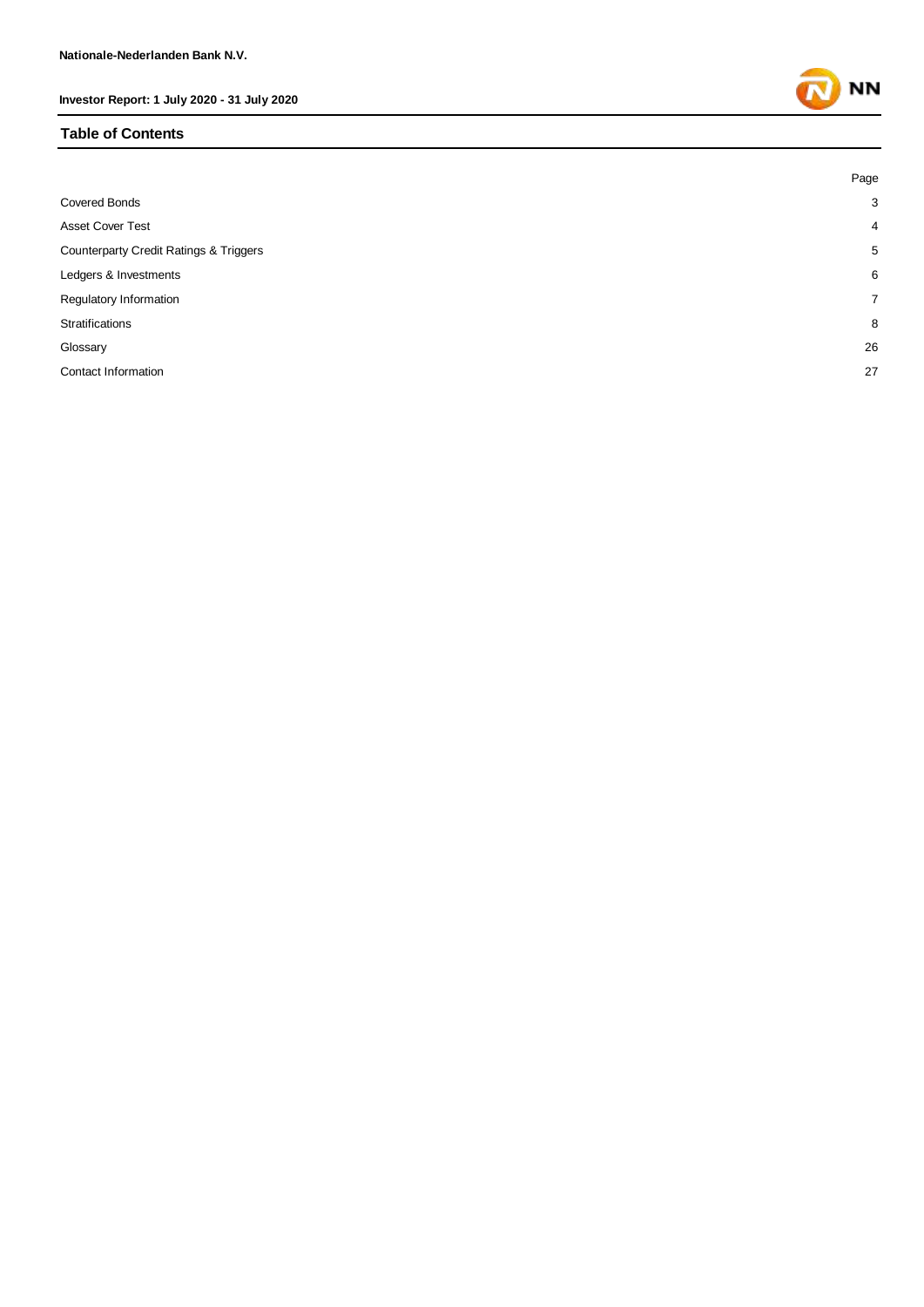#### **Table of Contents**

|                                                   | Page           |
|---------------------------------------------------|----------------|
| <b>Covered Bonds</b>                              | 3              |
| <b>Asset Cover Test</b>                           | $\overline{4}$ |
| <b>Counterparty Credit Ratings &amp; Triggers</b> | 5              |
| Ledgers & Investments                             | 6              |
| Regulatory Information                            | $\overline{7}$ |
| Stratifications                                   | 8              |
| Glossary                                          | 26             |
| Contact Information                               | 27             |
|                                                   |                |

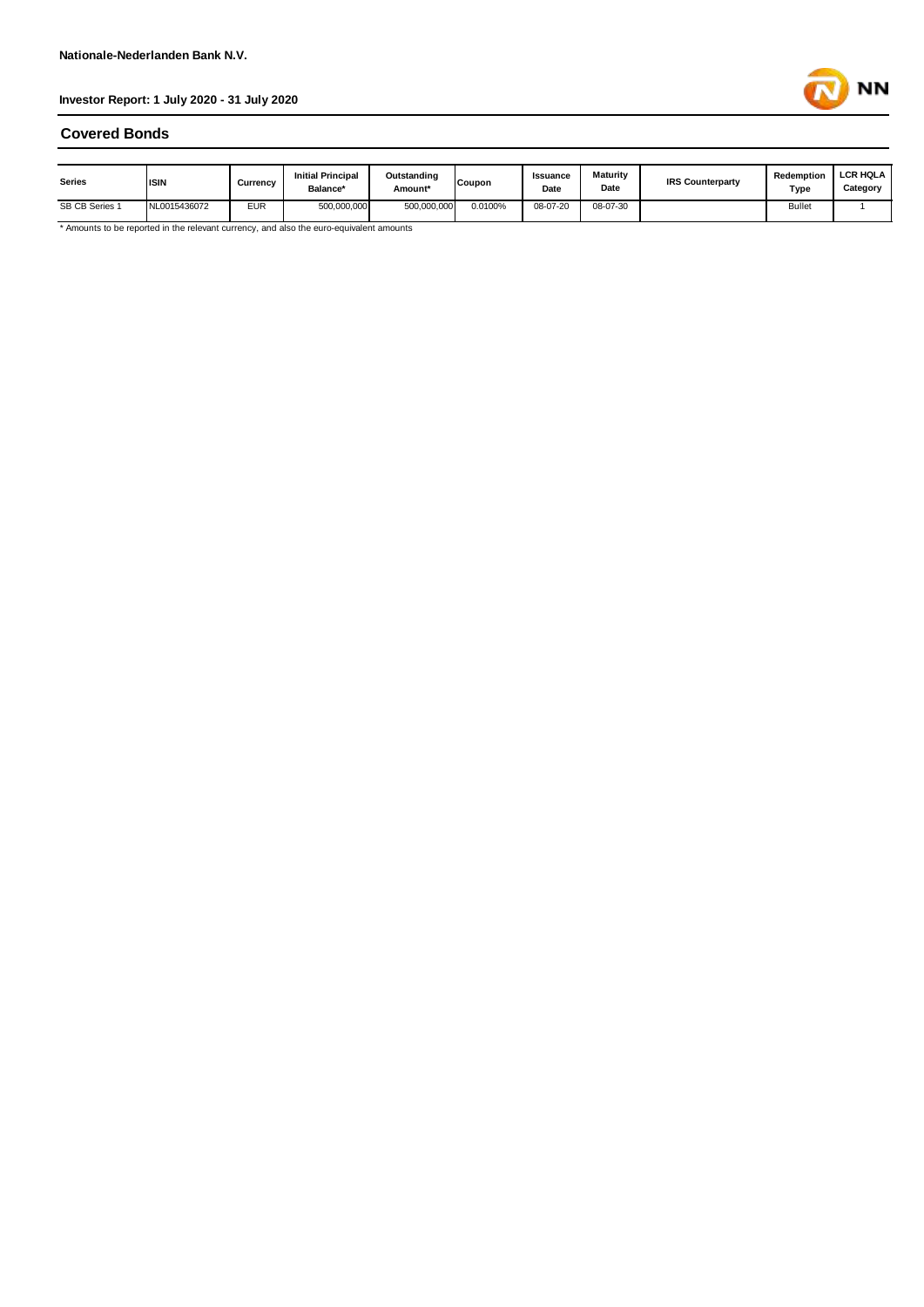

#### **Covered Bonds**

| <b>Series</b>  | <b>ISIN</b>  | Currency   | <b>Initial Principal</b><br><b>Balance*</b> | Outstanding<br>Amount* | <b>Coupon</b> | Issuance<br>Date | <b>Maturity</b><br>Date | <b>IRS Counterparty</b> | Redemption<br>Type | <b>LCR HOLA</b><br>Category |
|----------------|--------------|------------|---------------------------------------------|------------------------|---------------|------------------|-------------------------|-------------------------|--------------------|-----------------------------|
| SB CB Series 1 | NL0015436072 | <b>EUR</b> | 500.000.000                                 | 500.000.000            | 0.0100%       | 08-07-20         | 08-07-30                |                         | <b>Bullet</b>      |                             |

\* Amounts to be reported in the relevant currency, and also the euro-equivalent amounts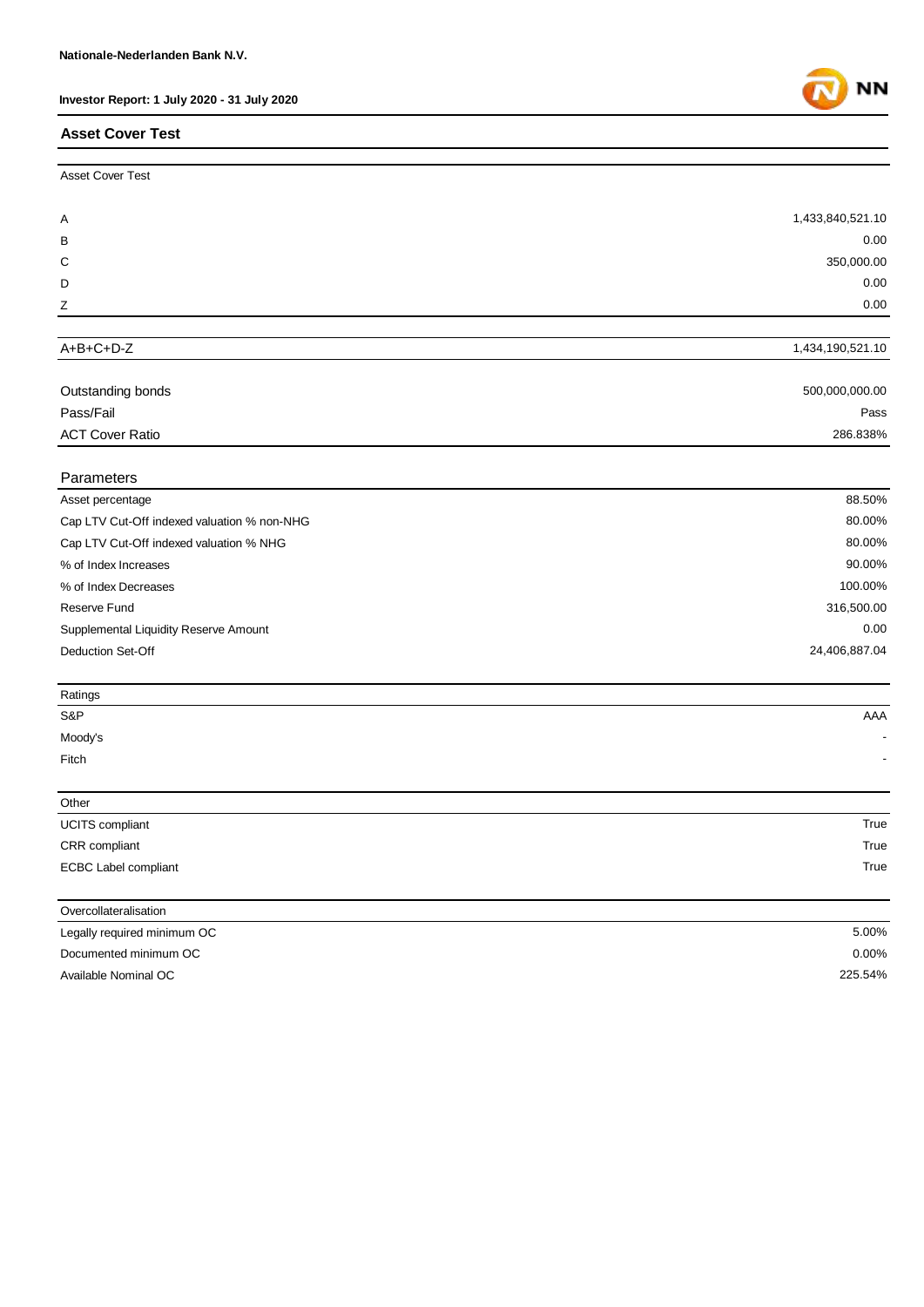## **Asset Cover Test**



| Outstanding bonds<br>$   -$ | 500,000,000.00   |
|-----------------------------|------------------|
| A+B+C+D-Z                   | 1,434,190,521.10 |
|                             |                  |
| Z                           | 0.00             |
| D                           | 0.00             |
| C                           | 350,000.00       |
| В                           | 0.00             |
| A                           | 1,433,840,521.10 |
| <b>Asset Cover Test</b>     |                  |

| Pass/Fail                   | Pass     |
|-----------------------------|----------|
| <b>ACT Cover Ratio</b><br>. | 286.838% |

| <b>Parameters</b>                           |               |
|---------------------------------------------|---------------|
| Asset percentage                            | 88.50%        |
| Cap LTV Cut-Off indexed valuation % non-NHG | 80.00%        |
| Cap LTV Cut-Off indexed valuation % NHG     | 80.00%        |
| % of Index Increases                        | 90.00%        |
| % of Index Decreases                        | 100.00%       |
| Reserve Fund                                | 316,500.00    |
| Supplemental Liquidity Reserve Amount       | 0.00          |
| <b>Deduction Set-Off</b>                    | 24,406,887.04 |

| Ratings              |      |
|----------------------|------|
| S&P                  | AAA  |
| Moody's              |      |
| Fitch                | ۰    |
|                      |      |
| Other                |      |
| UCITS compliant      | True |
| CRR compliant        | True |
| ECBC Label compliant | True |
|                      |      |

| Overcollateralisation       |          |
|-----------------------------|----------|
| Legally required minimum OC | 5.00%    |
| Documented minimum OC       | $0.00\%$ |
| Available Nominal OC        | 225.54%  |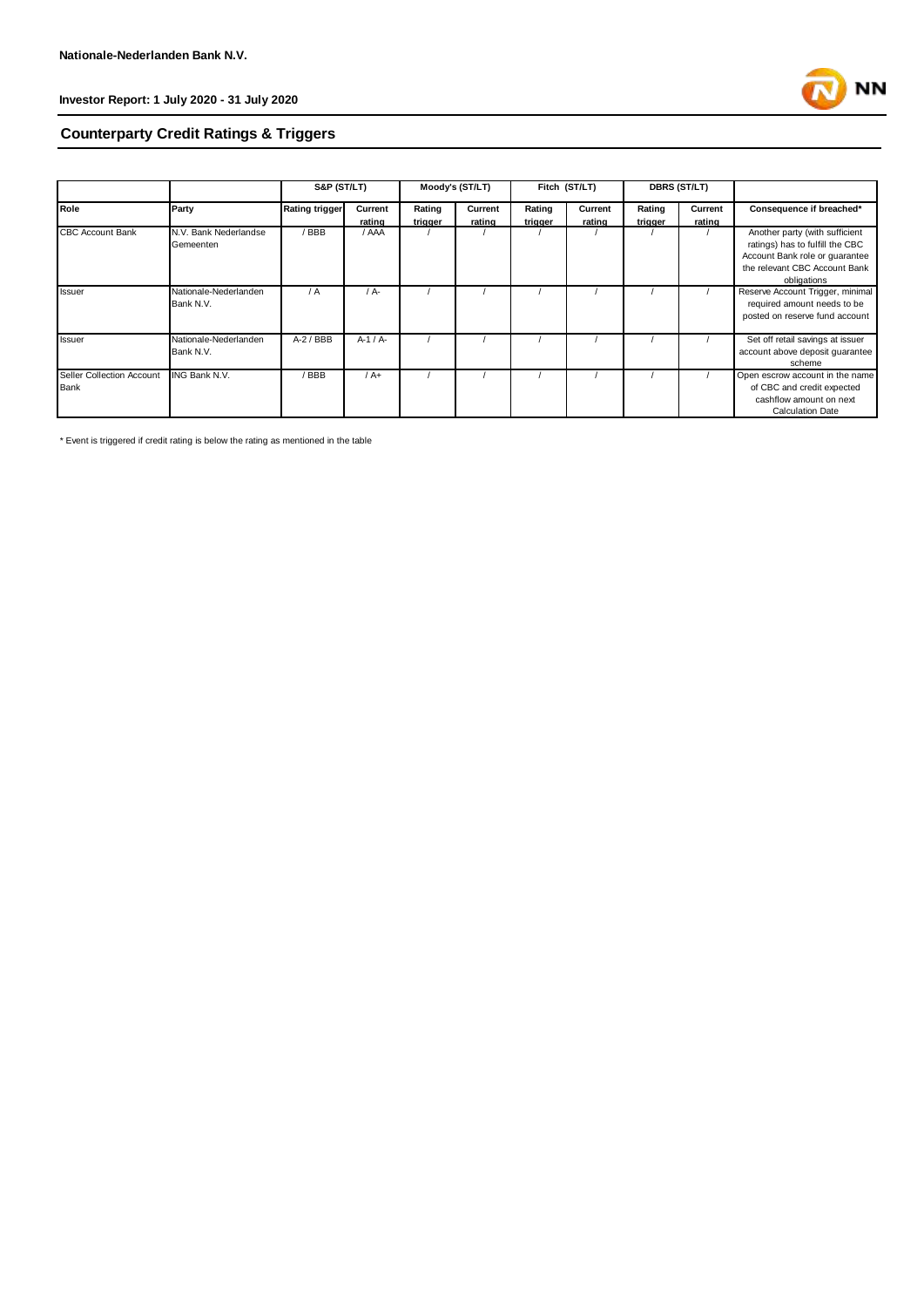

# **Counterparty Credit Ratings & Triggers**

|                                          |                                    | <b>S&amp;P (ST/LT)</b> |                   |                   | Moody's (ST/LT)   |                   | Fitch (ST/LT)     |                   | <b>DBRS (ST/LT)</b> |                                                                                                                                                     |
|------------------------------------------|------------------------------------|------------------------|-------------------|-------------------|-------------------|-------------------|-------------------|-------------------|---------------------|-----------------------------------------------------------------------------------------------------------------------------------------------------|
| Role                                     | Party                              | <b>Rating trigger</b>  | Current<br>rating | Rating<br>triaaer | Current<br>rating | Rating<br>triaaer | Current<br>rating | Rating<br>trigger | Current<br>rating   | Consequence if breached*                                                                                                                            |
| <b>CBC Account Bank</b>                  | N.V. Bank Nederlandse<br>Gemeenten | / BBB                  | / AAA             |                   |                   |                   |                   |                   |                     | Another party (with sufficient<br>ratings) has to fulfill the CBC<br>Account Bank role or quarantee<br>the relevant CBC Account Bank<br>obligations |
| Issuer                                   | Nationale-Nederlanden<br>Bank N.V. | $\sqrt{A}$             | / A-              |                   |                   |                   |                   |                   |                     | Reserve Account Trigger, minimal<br>required amount needs to be<br>posted on reserve fund account                                                   |
| Issuer                                   | Nationale-Nederlanden<br>Bank N.V. | $A-2$ / BBB            | $A-1/A-$          |                   |                   |                   |                   |                   |                     | Set off retail savings at issuer<br>account above deposit guarantee<br>scheme                                                                       |
| Seller Collection Account<br><b>Bank</b> | ING Bank N.V.                      | / BBB                  | $/A+$             |                   |                   |                   |                   |                   |                     | Open escrow account in the name<br>of CBC and credit expected<br>cashflow amount on next<br><b>Calculation Date</b>                                 |

\* Event is triggered if credit rating is below the rating as mentioned in the table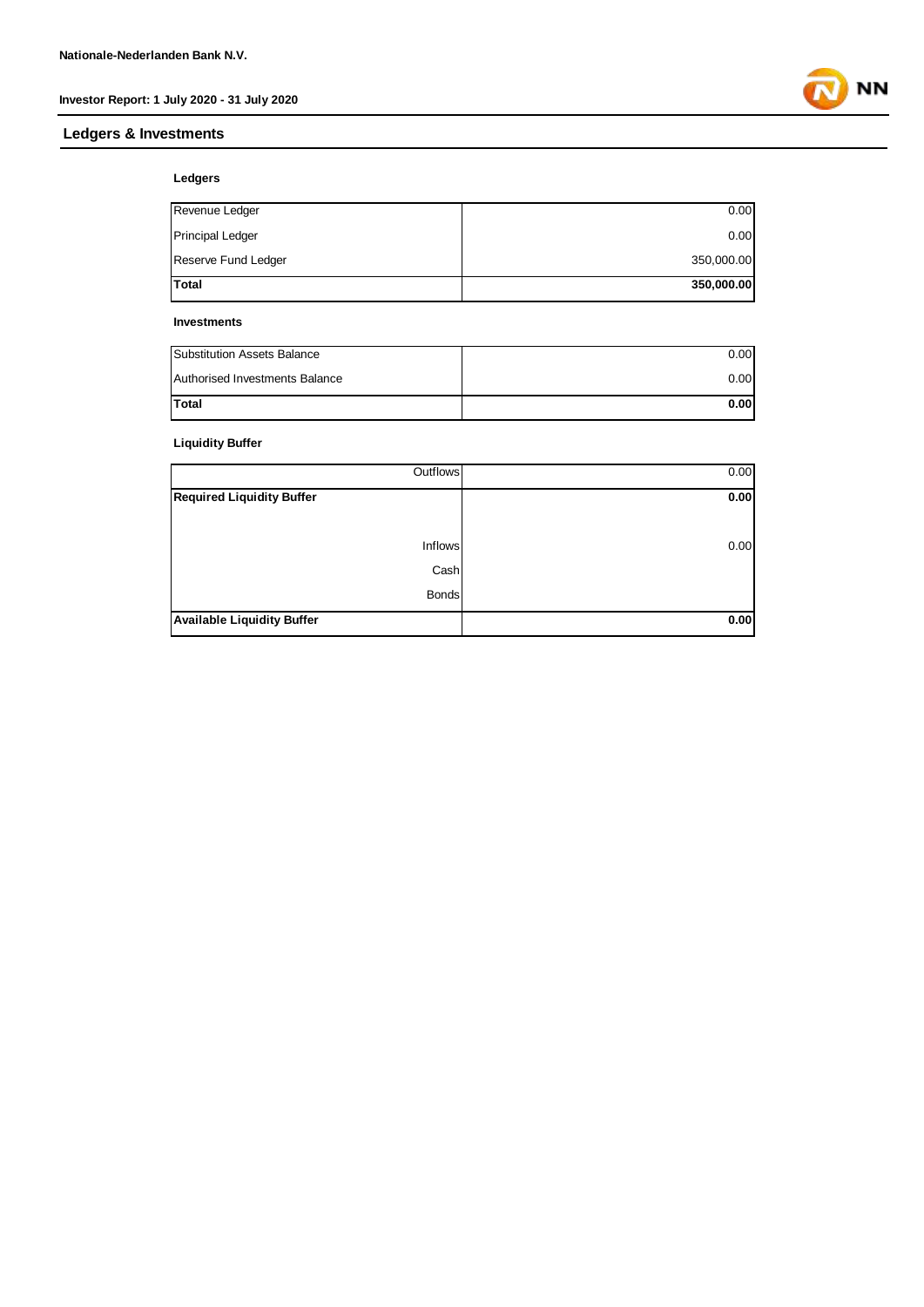## **Ledgers & Investments**



#### **Ledgers**

| <b>Total</b>            | 350,000.00 |
|-------------------------|------------|
| Reserve Fund Ledger     | 350,000.00 |
| <b>Principal Ledger</b> | 0.00       |
| Revenue Ledger          | 0.00       |

#### **Investments**

| Substitution Assets Balance    | 0.00 |
|--------------------------------|------|
| Authorised Investments Balance | 0.00 |
| <b>Total</b>                   | 0.00 |

#### **Liquidity Buffer**

| Outflows                          | 0.00 |
|-----------------------------------|------|
| Required Liquidity Buffer         | 0.00 |
|                                   |      |
| Inflows                           | 0.00 |
| Cash                              |      |
| <b>Bonds</b>                      |      |
| <b>Available Liquidity Buffer</b> | 0.00 |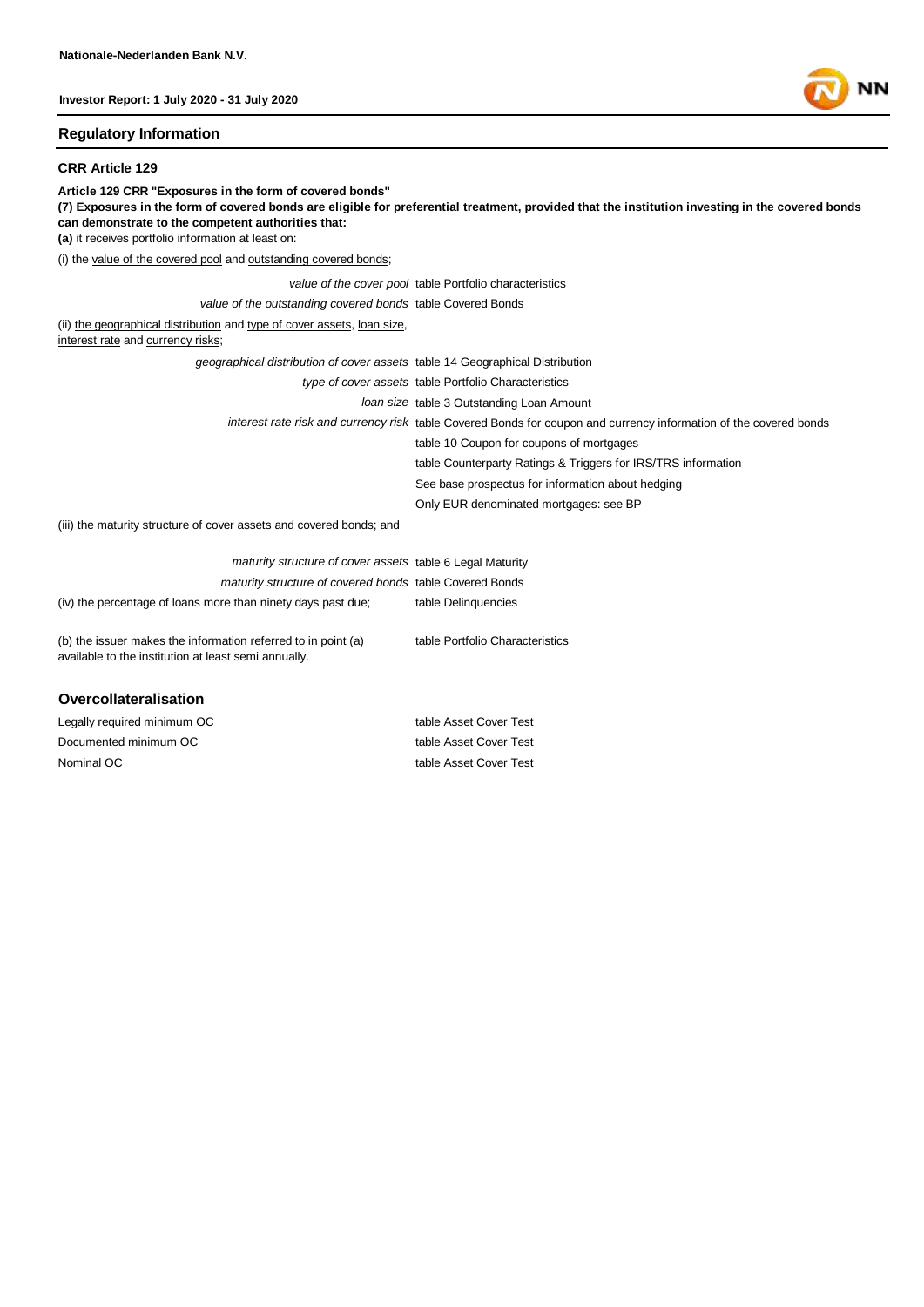#### **Regulatory Information**

#### **CRR Article 129**

**Article 129 CRR "Exposures in the form of covered bonds" (7) Exposures in the form of covered bonds are eligible for preferential treatment, provided that the institution investing in the covered bonds can demonstrate to the competent authorities that: (a)** it receives portfolio information at least on: (i) the value of the covered pool and outstanding covered bonds; *value of the cover pool* table Portfolio characteristics *value of the outstanding covered bonds* table Covered Bonds (ii) the geographical distribution and type of cover assets, loan size, interest rate and currency risks; *geographical distribution of cover assets* table 14 Geographical Distribution *type of cover assets* table Portfolio Characteristics *loan size* table 3 Outstanding Loan Amount *interest rate risk and currency risk* table Covered Bonds for coupon and currency information of the covered bonds table 10 Coupon for coupons of mortgages table Counterparty Ratings & Triggers for IRS/TRS information See base prospectus for information about hedging Only EUR denominated mortgages: see BP (iii) the maturity structure of cover assets and covered bonds; and *maturity structure of cover assets* table 6 Legal Maturity *maturity structure of covered bonds* table Covered Bonds (iv) the percentage of loans more than ninety days past due; table Delinquencies

(b) the issuer makes the information referred to in point (a) available to the institution at least semi annually. table Portfolio Characteristics

#### **Overcollateralisation**

Nominal OC table Asset Cover Test Legally required minimum OC table Asset Cover Test Documented minimum OC table Asset Cover Test

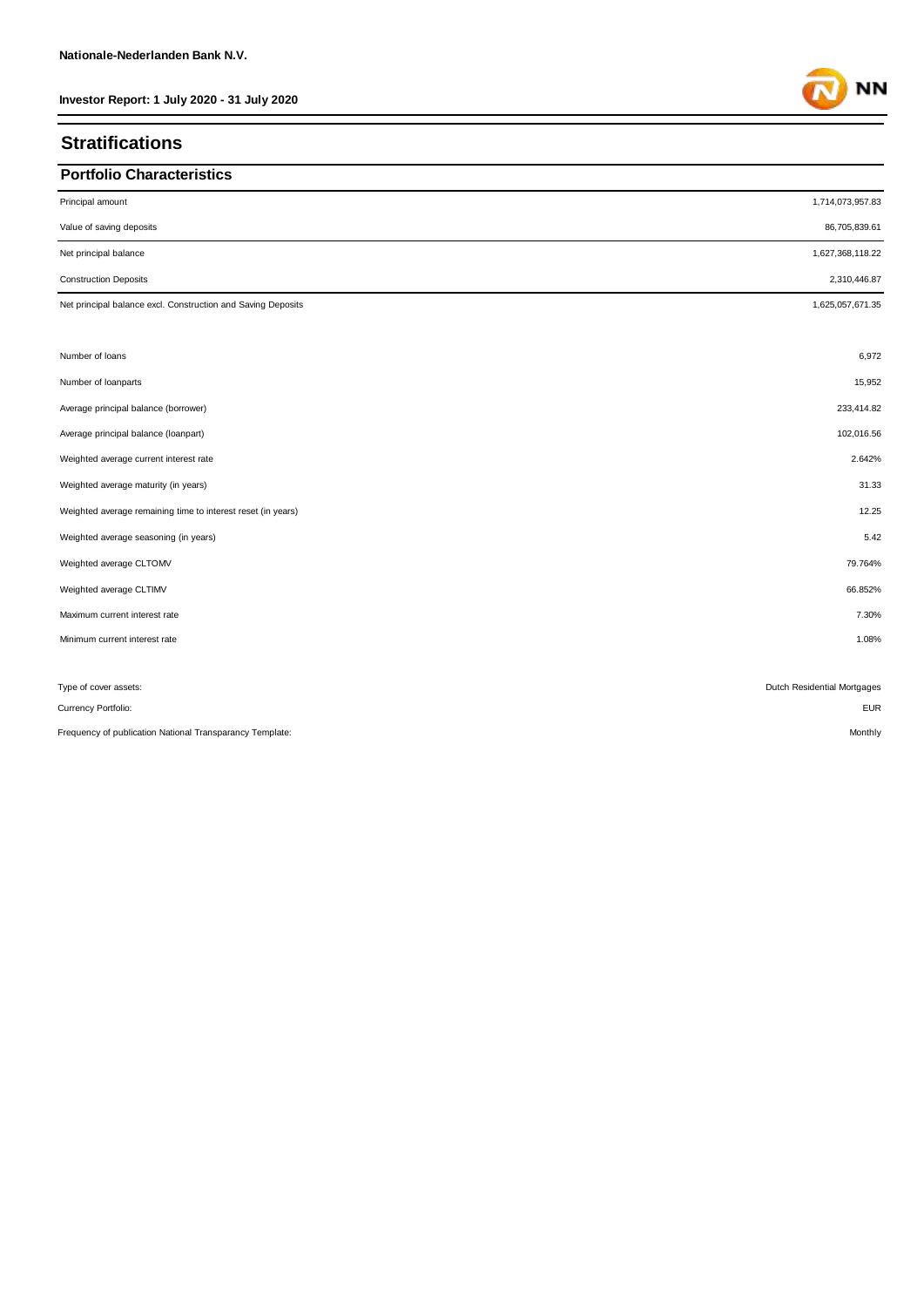## **Stratifications**

## **Portfolio Characteristics**

| Principal amount                                             | 1,714,073,957.83            |
|--------------------------------------------------------------|-----------------------------|
| Value of saving deposits                                     | 86,705,839.61               |
| Net principal balance                                        | 1,627,368,118.22            |
| <b>Construction Deposits</b>                                 | 2,310,446.87                |
| Net principal balance excl. Construction and Saving Deposits | 1,625,057,671.35            |
|                                                              |                             |
| Number of loans                                              | 6,972                       |
| Number of loanparts                                          | 15,952                      |
| Average principal balance (borrower)                         | 233,414.82                  |
| Average principal balance (loanpart)                         | 102,016.56                  |
| Weighted average current interest rate                       | 2.642%                      |
| Weighted average maturity (in years)                         | 31.33                       |
| Weighted average remaining time to interest reset (in years) | 12.25                       |
| Weighted average seasoning (in years)                        | 5.42                        |
| Weighted average CLTOMV                                      | 79.764%                     |
| Weighted average CLTIMV                                      | 66.852%                     |
| Maximum current interest rate                                | 7.30%                       |
| Minimum current interest rate                                | 1.08%                       |
|                                                              |                             |
| Type of cover assets:                                        | Dutch Residential Mortgages |
| Currency Portfolio:                                          | <b>EUR</b>                  |
| Frequency of publication National Transparancy Template:     | Monthly                     |

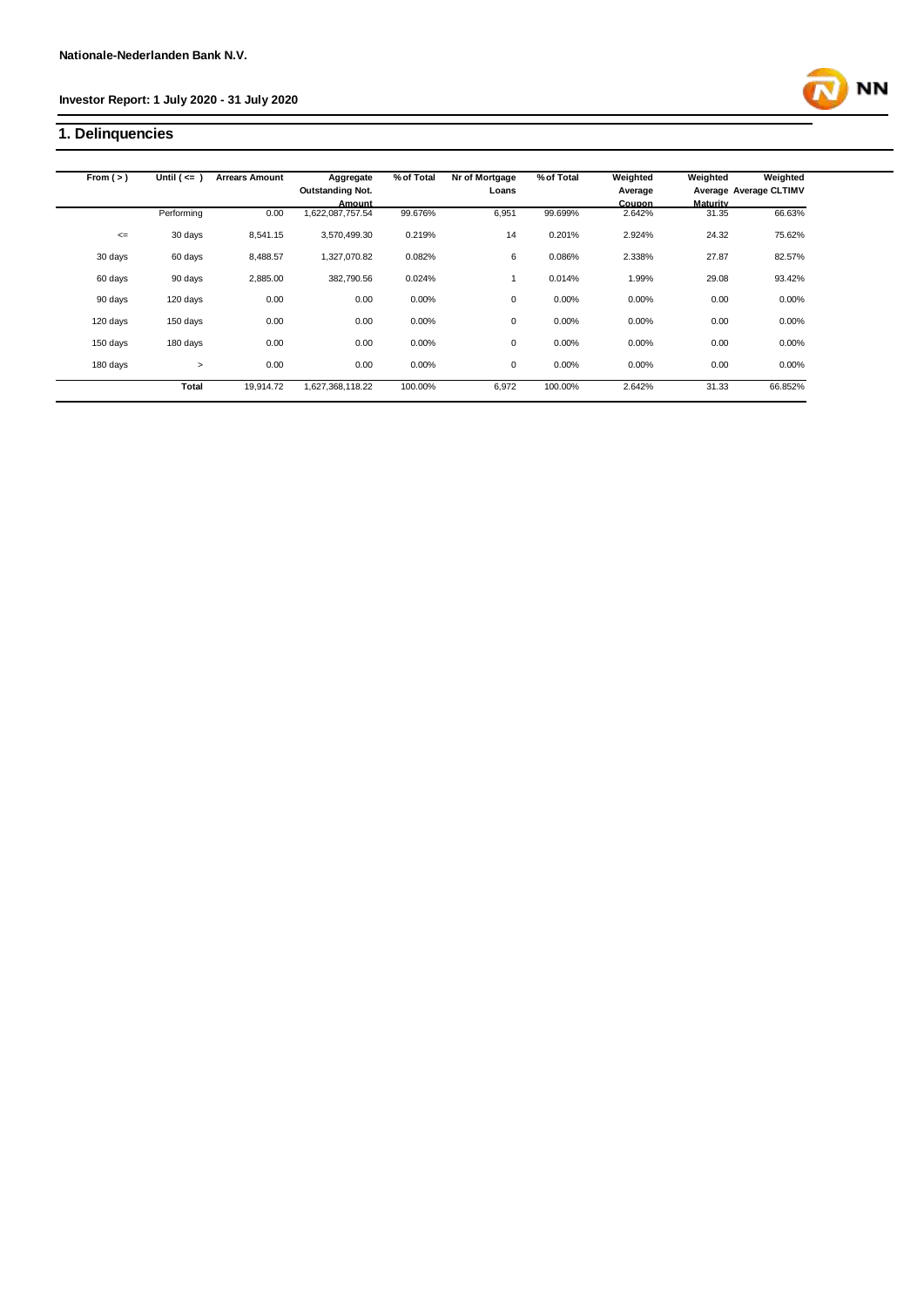## **1. Delinquencies**

| From $(>)$ | Until $($ <= $)$ | <b>Arrears Amount</b> | Aggregate               | % of Total | Nr of Mortgage | % of Total | Weighted | Weighted        | Weighted               |
|------------|------------------|-----------------------|-------------------------|------------|----------------|------------|----------|-----------------|------------------------|
|            |                  |                       | <b>Outstanding Not.</b> |            | Loans          |            | Average  |                 | Average Average CLTIMV |
|            |                  |                       | Amount                  |            |                |            | Coupon   | <b>Maturity</b> |                        |
|            | Performing       | 0.00                  | 1,622,087,757.54        | 99.676%    | 6,951          | 99.699%    | 2.642%   | 31.35           | 66.63%                 |
| $\leq$     | 30 days          | 8,541.15              | 3,570,499.30            | 0.219%     | 14             | 0.201%     | 2.924%   | 24.32           | 75.62%                 |
| 30 days    | 60 days          | 8,488.57              | 1,327,070.82            | 0.082%     | 6              | 0.086%     | 2.338%   | 27.87           | 82.57%                 |
| 60 days    | 90 days          | 2,885.00              | 382,790.56              | 0.024%     |                | 0.014%     | 1.99%    | 29.08           | 93.42%                 |
| 90 days    | 120 days         | 0.00                  | 0.00                    | 0.00%      | $\mathbf 0$    | 0.00%      | 0.00%    | 0.00            | 0.00%                  |
| 120 days   | 150 days         | 0.00                  | 0.00                    | 0.00%      | 0              | 0.00%      | 0.00%    | 0.00            | 0.00%                  |
| 150 days   | 180 days         | 0.00                  | 0.00                    | 0.00%      | 0              | 0.00%      | 0.00%    | 0.00            | 0.00%                  |
| 180 days   | $\geq$           | 0.00                  | 0.00                    | 0.00%      | 0              | 0.00%      | 0.00%    | 0.00            | 0.00%                  |
|            | Total            | 19,914.72             | 1,627,368,118.22        | 100.00%    | 6,972          | 100.00%    | 2.642%   | 31.33           | 66.852%                |

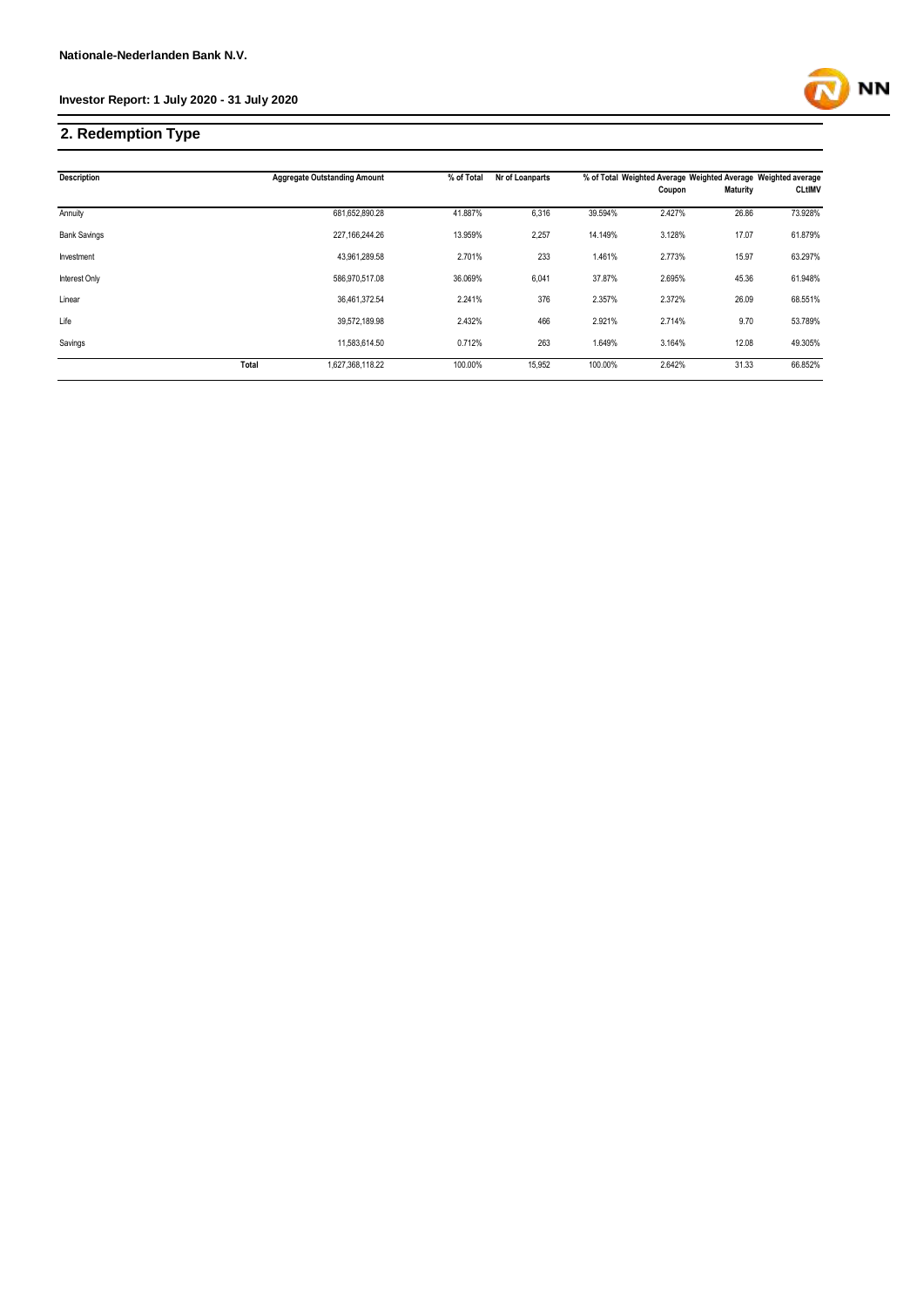

## **2. Redemption Type**

| <b>Description</b>  |       | <b>Aggregate Outstanding Amount</b> | % of Total | Nr of Loanparts |         | % of Total Weighted Average Weighted Average Weighted average |                 |               |
|---------------------|-------|-------------------------------------|------------|-----------------|---------|---------------------------------------------------------------|-----------------|---------------|
|                     |       |                                     |            |                 |         | Coupon                                                        | <b>Maturity</b> | <b>CLtIMV</b> |
| Annuity             |       | 681,652,890.28                      | 41.887%    | 6,316           | 39.594% | 2.427%                                                        | 26.86           | 73.928%       |
| <b>Bank Savings</b> |       | 227.166.244.26                      | 13.959%    | 2,257           | 14.149% | 3.128%                                                        | 17.07           | 61.879%       |
| Investment          |       | 43,961,289.58                       | 2.701%     | 233             | 1.461%  | 2.773%                                                        | 15.97           | 63.297%       |
| Interest Only       |       | 586,970,517.08                      | 36.069%    | 6,041           | 37.87%  | 2.695%                                                        | 45.36           | 61.948%       |
| Linear              |       | 36,461,372.54                       | 2.241%     | 376             | 2.357%  | 2.372%                                                        | 26.09           | 68.551%       |
| Life                |       | 39,572,189.98                       | 2.432%     | 466             | 2.921%  | 2.714%                                                        | 9.70            | 53.789%       |
| Savings             |       | 11,583,614.50                       | 0.712%     | 263             | 1.649%  | 3.164%                                                        | 12.08           | 49.305%       |
|                     | Total | 1,627,368,118.22                    | 100.00%    | 15,952          | 100.00% | 2.642%                                                        | 31.33           | 66.852%       |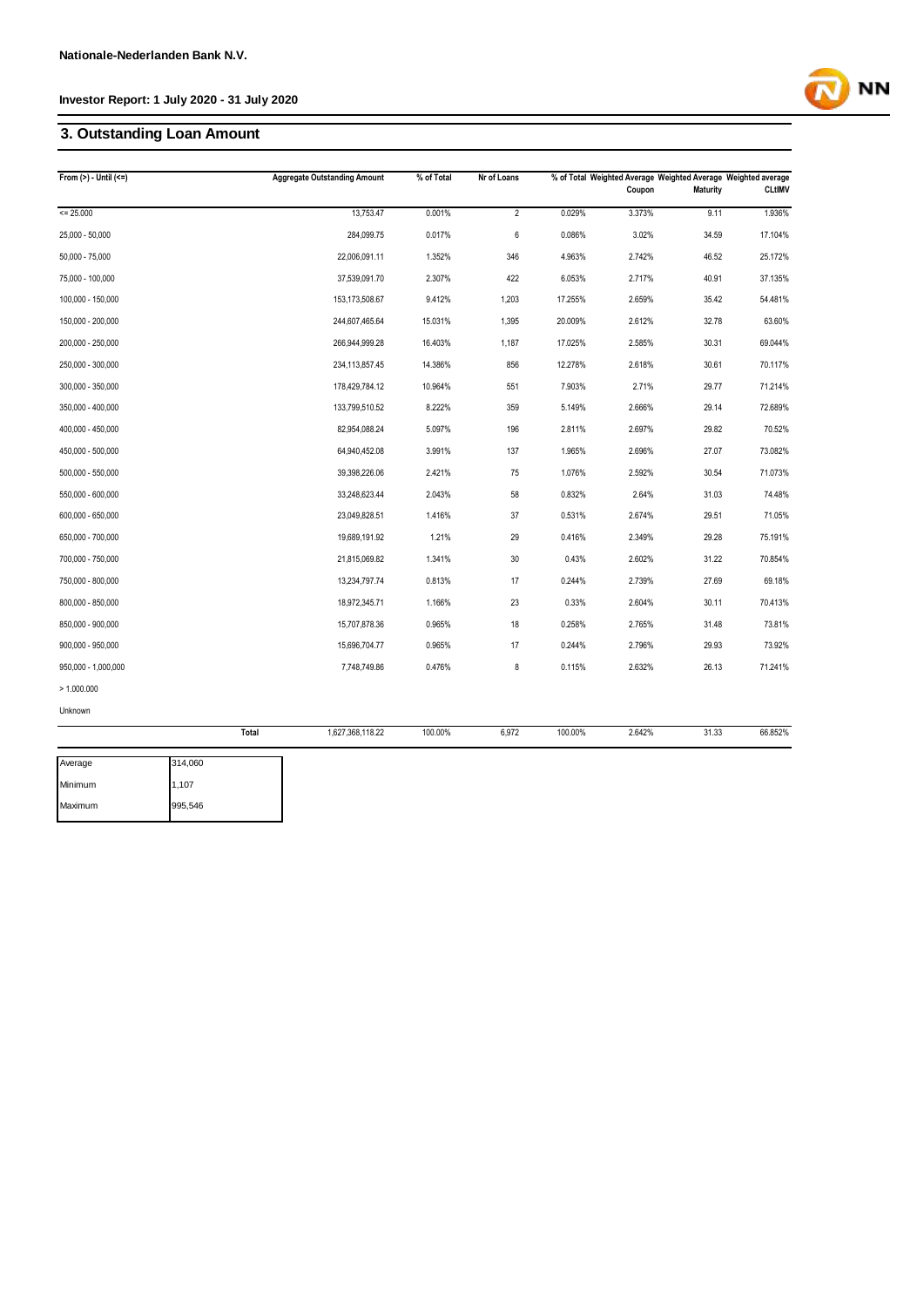## **3. Outstanding Loan Amount**

| From $(>) -$ Until $(<=)$ | <b>Aggregate Outstanding Amount</b> | % of Total | Nr of Loans    |         | Coupon | <b>Maturity</b> | % of Total Weighted Average Weighted Average Weighted average<br><b>CLtIMV</b> |
|---------------------------|-------------------------------------|------------|----------------|---------|--------|-----------------|--------------------------------------------------------------------------------|
| $= 25.000$                | 13,753.47                           | 0.001%     | $\overline{2}$ | 0.029%  | 3.373% | 9.11            | 1.936%                                                                         |
| 25,000 - 50,000           | 284,099.75                          | 0.017%     | 6              | 0.086%  | 3.02%  | 34.59           | 17.104%                                                                        |
| $50,000 - 75,000$         | 22,006,091.11                       | 1.352%     | 346            | 4.963%  | 2.742% | 46.52           | 25.172%                                                                        |
| 75,000 - 100,000          | 37,539,091.70                       | 2.307%     | 422            | 6.053%  | 2.717% | 40.91           | 37.135%                                                                        |
| 100,000 - 150,000         | 153,173,508.67                      | 9.412%     | 1,203          | 17.255% | 2.659% | 35.42           | 54.481%                                                                        |
| 150,000 - 200,000         | 244,607,465.64                      | 15.031%    | 1,395          | 20.009% | 2.612% | 32.78           | 63.60%                                                                         |
| 200,000 - 250,000         | 266,944,999.28                      | 16.403%    | 1,187          | 17.025% | 2.585% | 30.31           | 69.044%                                                                        |
| 250,000 - 300,000         | 234,113,857.45                      | 14.386%    | 856            | 12.278% | 2.618% | 30.61           | 70.117%                                                                        |
| 300,000 - 350,000         | 178,429,784.12                      | 10.964%    | 551            | 7.903%  | 2.71%  | 29.77           | 71.214%                                                                        |
| 350,000 - 400,000         | 133,799,510.52                      | 8.222%     | 359            | 5.149%  | 2.666% | 29.14           | 72.689%                                                                        |
| 400,000 - 450,000         | 82,954,088.24                       | 5.097%     | 196            | 2.811%  | 2.697% | 29.82           | 70.52%                                                                         |
| 450,000 - 500,000         | 64,940,452.08                       | 3.991%     | 137            | 1.965%  | 2.696% | 27.07           | 73.082%                                                                        |
| 500,000 - 550,000         | 39,398,226.06                       | 2.421%     | 75             | 1.076%  | 2.592% | 30.54           | 71.073%                                                                        |
| 550,000 - 600,000         | 33,248,623.44                       | 2.043%     | 58             | 0.832%  | 2.64%  | 31.03           | 74.48%                                                                         |
| 600,000 - 650,000         | 23,049,828.51                       | 1.416%     | 37             | 0.531%  | 2.674% | 29.51           | 71.05%                                                                         |
| 650,000 - 700,000         | 19,689,191.92                       | 1.21%      | 29             | 0.416%  | 2.349% | 29.28           | 75.191%                                                                        |
| 700,000 - 750,000         | 21,815,069.82                       | 1.341%     | $30\,$         | 0.43%   | 2.602% | 31.22           | 70.854%                                                                        |
| 750,000 - 800,000         | 13,234,797.74                       | 0.813%     | 17             | 0.244%  | 2.739% | 27.69           | 69.18%                                                                         |
| 800,000 - 850,000         | 18,972,345.71                       | 1.166%     | 23             | 0.33%   | 2.604% | 30.11           | 70.413%                                                                        |
| 850,000 - 900,000         | 15,707,878.36                       | 0.965%     | 18             | 0.258%  | 2.765% | 31.48           | 73.81%                                                                         |
| 900,000 - 950,000         | 15,696,704.77                       | 0.965%     | 17             | 0.244%  | 2.796% | 29.93           | 73.92%                                                                         |
| 950,000 - 1,000,000       | 7,748,749.86                        | 0.476%     | 8              | 0.115%  | 2.632% | 26.13           | 71.241%                                                                        |
| > 1.000.000               |                                     |            |                |         |        |                 |                                                                                |
| Unknown                   |                                     |            |                |         |        |                 |                                                                                |
|                           | Total<br>1,627,368,118.22           | 100.00%    | 6,972          | 100.00% | 2.642% | 31.33           | 66.852%                                                                        |

**NN** 

| Average | 314.060 |
|---------|---------|
| Minimum | 1,107   |
| Maximum | 995,546 |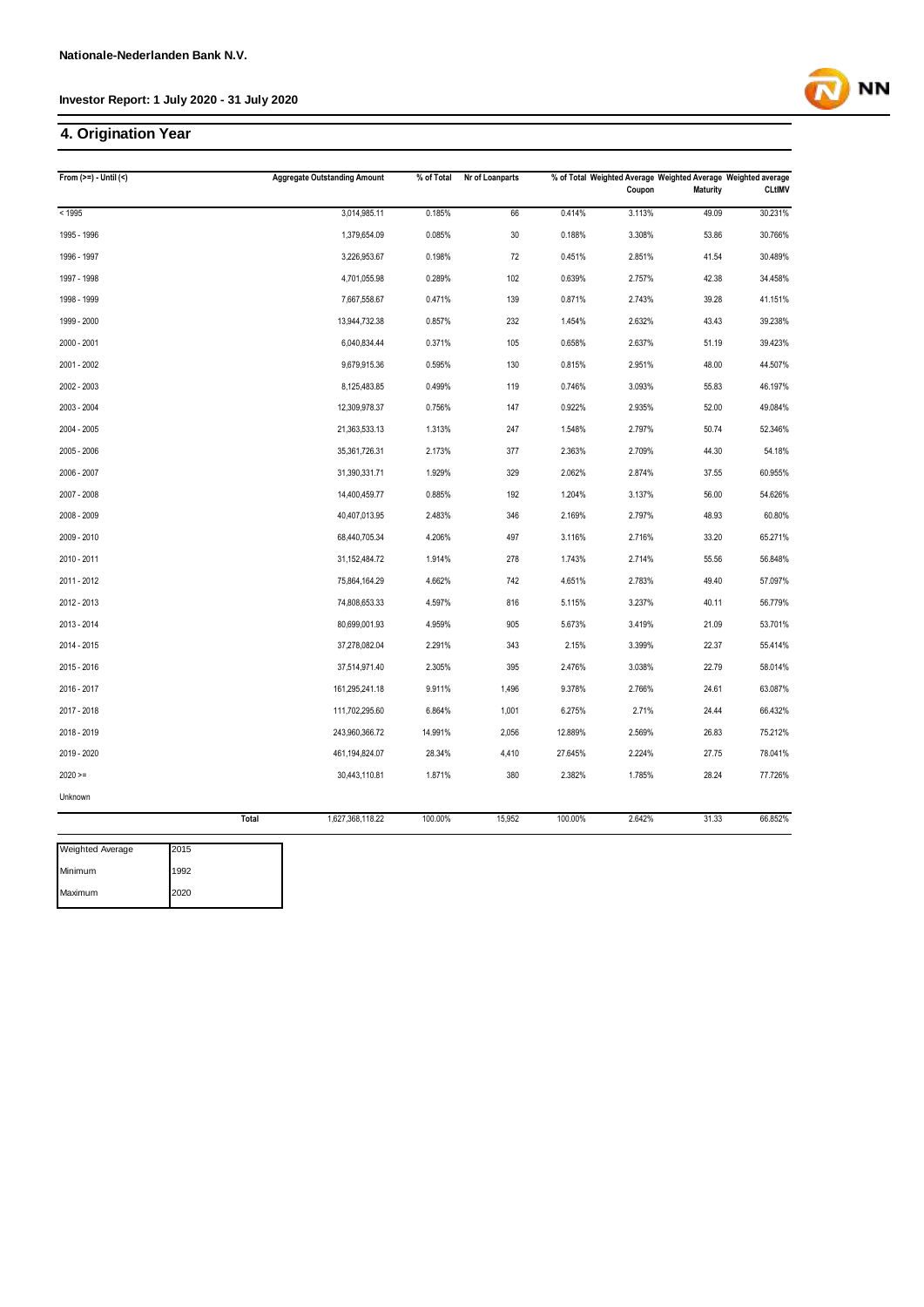## **4. Origination Year**

| From $(>=) -$ Until $($         | <b>Aggregate Outstanding Amount</b> | % of Total | Nr of Loanparts |         | % of Total Weighted Average Weighted Average Weighted average |          |               |  |  |
|---------------------------------|-------------------------------------|------------|-----------------|---------|---------------------------------------------------------------|----------|---------------|--|--|
|                                 |                                     |            |                 |         | Coupon                                                        | Maturity | <b>CLtIMV</b> |  |  |
| < 1995                          | 3,014,985.11                        | 0.185%     | 66              | 0.414%  | 3.113%                                                        | 49.09    | 30.231%       |  |  |
| 1995 - 1996                     | 1,379,654.09                        | 0.085%     | 30              | 0.188%  | 3.308%                                                        | 53.86    | 30.766%       |  |  |
| 1996 - 1997                     | 3,226,953.67                        | 0.198%     | 72              | 0.451%  | 2.851%                                                        | 41.54    | 30.489%       |  |  |
| 1997 - 1998                     | 4,701,055.98                        | 0.289%     | 102             | 0.639%  | 2.757%                                                        | 42.38    | 34.458%       |  |  |
| 1998 - 1999                     | 7,667,558.67                        | 0.471%     | 139             | 0.871%  | 2.743%                                                        | 39.28    | 41.151%       |  |  |
| 1999 - 2000                     | 13,944,732.38                       | 0.857%     | 232             | 1.454%  | 2.632%                                                        | 43.43    | 39.238%       |  |  |
| 2000 - 2001                     | 6,040,834.44                        | 0.371%     | 105             | 0.658%  | 2.637%                                                        | 51.19    | 39.423%       |  |  |
| 2001 - 2002                     | 9,679,915.36                        | 0.595%     | 130             | 0.815%  | 2.951%                                                        | 48.00    | 44.507%       |  |  |
| 2002 - 2003                     | 8,125,483.85                        | 0.499%     | 119             | 0.746%  | 3.093%                                                        | 55.83    | 46.197%       |  |  |
| 2003 - 2004                     | 12,309,978.37                       | 0.756%     | 147             | 0.922%  | 2.935%                                                        | 52.00    | 49.084%       |  |  |
| 2004 - 2005                     | 21,363,533.13                       | 1.313%     | 247             | 1.548%  | 2.797%                                                        | 50.74    | 52.346%       |  |  |
| 2005 - 2006                     | 35,361,726.31                       | 2.173%     | 377             | 2.363%  | 2.709%                                                        | 44.30    | 54.18%        |  |  |
| 2006 - 2007                     | 31,390,331.71                       | 1.929%     | 329             | 2.062%  | 2.874%                                                        | 37.55    | 60.955%       |  |  |
| 2007 - 2008                     | 14,400,459.77                       | 0.885%     | 192             | 1.204%  | 3.137%                                                        | 56.00    | 54.626%       |  |  |
| 2008 - 2009                     | 40,407,013.95                       | 2.483%     | 346             | 2.169%  | 2.797%                                                        | 48.93    | 60.80%        |  |  |
| 2009 - 2010                     | 68,440,705.34                       | 4.206%     | 497             | 3.116%  | 2.716%                                                        | 33.20    | 65.271%       |  |  |
| 2010 - 2011                     | 31, 152, 484. 72                    | 1.914%     | 278             | 1.743%  | 2.714%                                                        | 55.56    | 56.848%       |  |  |
| 2011 - 2012                     | 75,864,164.29                       | 4.662%     | 742             | 4.651%  | 2.783%                                                        | 49.40    | 57.097%       |  |  |
| 2012 - 2013                     | 74,808,653.33                       | 4.597%     | 816             | 5.115%  | 3.237%                                                        | 40.11    | 56.779%       |  |  |
| 2013 - 2014                     | 80,699,001.93                       | 4.959%     | 905             | 5.673%  | 3.419%                                                        | 21.09    | 53.701%       |  |  |
| 2014 - 2015                     | 37,278,082.04                       | 2.291%     | 343             | 2.15%   | 3.399%                                                        | 22.37    | 55.414%       |  |  |
| 2015 - 2016                     | 37,514,971.40                       | 2.305%     | 395             | 2.476%  | 3.038%                                                        | 22.79    | 58.014%       |  |  |
| 2016 - 2017                     | 161,295,241.18                      | 9.911%     | 1,496           | 9.378%  | 2.766%                                                        | 24.61    | 63.087%       |  |  |
| 2017 - 2018                     | 111,702,295.60                      | 6.864%     | 1,001           | 6.275%  | 2.71%                                                         | 24.44    | 66.432%       |  |  |
| 2018 - 2019                     | 243,960,366.72                      | 14.991%    | 2,056           | 12.889% | 2.569%                                                        | 26.83    | 75.212%       |  |  |
| 2019 - 2020                     | 461,194,824.07                      | 28.34%     | 4,410           | 27.645% | 2.224%                                                        | 27.75    | 78.041%       |  |  |
| $2020 =$                        | 30,443,110.81                       | 1.871%     | 380             | 2.382%  | 1.785%                                                        | 28.24    | 77.726%       |  |  |
| Unknown                         |                                     |            |                 |         |                                                               |          |               |  |  |
|                                 | Total<br>1,627,368,118.22           | 100.00%    | 15,952          | 100.00% | 2.642%                                                        | 31.33    | 66.852%       |  |  |
| 2015<br><b>Weighted Average</b> |                                     |            |                 |         |                                                               |          |               |  |  |

| weignted Average | כו ט∠ו |
|------------------|--------|
| Minimum          | 1992   |
| Maximum          | 2020   |

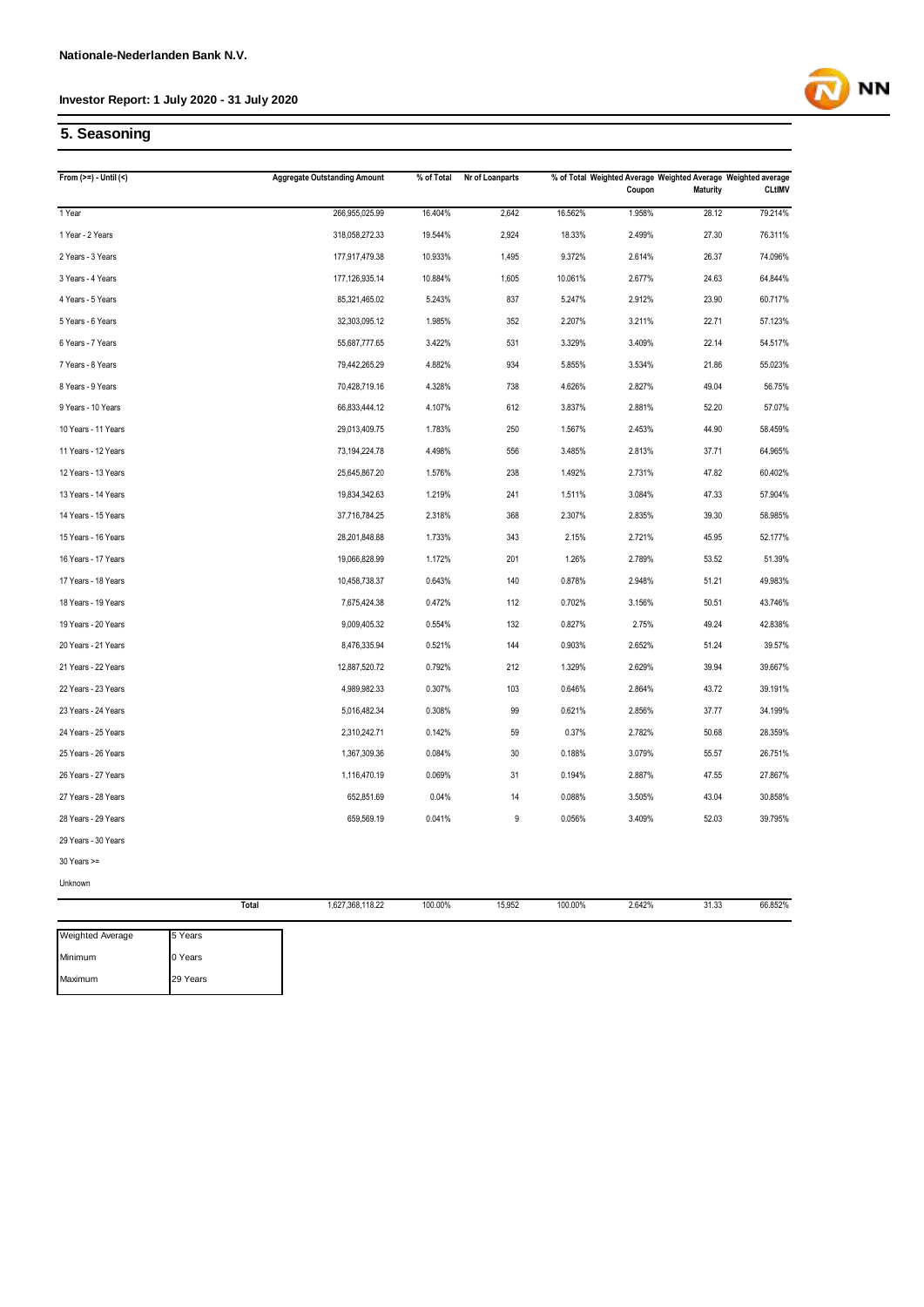

## **5. Seasoning**

| <b>Maturity</b><br>Coupon<br>266,955,025.99<br>16.404%<br>2,642<br>16.562%<br>1.958%<br>28.12<br>1 Year<br>1 Year - 2 Years<br>18.33%<br>2.499%<br>27.30<br>318,058,272.33<br>19.544%<br>2,924<br>10.933%<br>9.372%<br>2 Years - 3 Years<br>177,917,479.38<br>1,495<br>2.614%<br>26.37<br>177,126,935.14<br>10.884%<br>10.061%<br>24.63<br>3 Years - 4 Years<br>1,605<br>2.677%<br>5.243%<br>837<br>5.247%<br>2.912%<br>23.90<br>4 Years - 5 Years<br>85,321,465.02<br>5 Years - 6 Years<br>1.985%<br>352<br>2.207%<br>3.211%<br>22.71<br>32,303,095.12<br>6 Years - 7 Years<br>3.422%<br>3.329%<br>3.409%<br>22.14<br>55,687,777.65<br>531<br>7 Years - 8 Years<br>79,442,265.29<br>4.882%<br>934<br>5.855%<br>3.534%<br>21.86<br>49.04<br>8 Years - 9 Years<br>70,428,719.16<br>4.328%<br>738<br>4.626%<br>2.827%<br>9 Years - 10 Years<br>3.837%<br>66,833,444.12<br>4.107%<br>612<br>2.881%<br>52.20<br>10 Years - 11 Years<br>29,013,409.75<br>1.783%<br>250<br>1.567%<br>44.90<br>2.453%<br>11 Years - 12 Years<br>73,194,224.78<br>4.498%<br>556<br>3.485%<br>2.813%<br>37.71<br>12 Years - 13 Years<br>238<br>1.492%<br>2.731%<br>47.82<br>25,645,867.20<br>1.576%<br>13 Years - 14 Years<br>19,834,342.63<br>1.219%<br>241<br>1.511%<br>3.084%<br>47.33<br>14 Years - 15 Years<br>37,716,784.25<br>2.318%<br>368<br>2.307%<br>2.835%<br>39.30<br>1.733%<br>2.721%<br>45.95<br>15 Years - 16 Years<br>28,201,848.88<br>343<br>2.15%<br>16 Years - 17 Years<br>1.26%<br>2.789%<br>53.52<br>19,066,828.99<br>1.172%<br>201<br>0.643%<br>140<br>0.878%<br>51.21<br>17 Years - 18 Years<br>10,458,738.37<br>2.948%<br>18 Years - 19 Years<br>0.472%<br>112<br>0.702%<br>50.51<br>7,675,424.38<br>3.156%<br>19 Years - 20 Years<br>9,009,405.32<br>0.554%<br>132<br>0.827%<br>2.75%<br>49.24<br>20 Years - 21 Years<br>144<br>0.903%<br>8,476,335.94<br>0.521%<br>2.652%<br>51.24<br>21 Years - 22 Years<br>12,887,520.72<br>0.792%<br>212<br>1.329%<br>2.629%<br>39.94 | <b>CLtIMV</b><br>79.214%<br>76.311%<br>74.096%<br>64.844%<br>60.717%<br>57.123%<br>54.517%<br>55.023%<br>56.75%<br>57.07%<br>58.459% |
|----------------------------------------------------------------------------------------------------------------------------------------------------------------------------------------------------------------------------------------------------------------------------------------------------------------------------------------------------------------------------------------------------------------------------------------------------------------------------------------------------------------------------------------------------------------------------------------------------------------------------------------------------------------------------------------------------------------------------------------------------------------------------------------------------------------------------------------------------------------------------------------------------------------------------------------------------------------------------------------------------------------------------------------------------------------------------------------------------------------------------------------------------------------------------------------------------------------------------------------------------------------------------------------------------------------------------------------------------------------------------------------------------------------------------------------------------------------------------------------------------------------------------------------------------------------------------------------------------------------------------------------------------------------------------------------------------------------------------------------------------------------------------------------------------------------------------------------------------------------------------------------------------------------------------------------------------------------------------|--------------------------------------------------------------------------------------------------------------------------------------|
|                                                                                                                                                                                                                                                                                                                                                                                                                                                                                                                                                                                                                                                                                                                                                                                                                                                                                                                                                                                                                                                                                                                                                                                                                                                                                                                                                                                                                                                                                                                                                                                                                                                                                                                                                                                                                                                                                                                                                                            |                                                                                                                                      |
|                                                                                                                                                                                                                                                                                                                                                                                                                                                                                                                                                                                                                                                                                                                                                                                                                                                                                                                                                                                                                                                                                                                                                                                                                                                                                                                                                                                                                                                                                                                                                                                                                                                                                                                                                                                                                                                                                                                                                                            |                                                                                                                                      |
|                                                                                                                                                                                                                                                                                                                                                                                                                                                                                                                                                                                                                                                                                                                                                                                                                                                                                                                                                                                                                                                                                                                                                                                                                                                                                                                                                                                                                                                                                                                                                                                                                                                                                                                                                                                                                                                                                                                                                                            |                                                                                                                                      |
|                                                                                                                                                                                                                                                                                                                                                                                                                                                                                                                                                                                                                                                                                                                                                                                                                                                                                                                                                                                                                                                                                                                                                                                                                                                                                                                                                                                                                                                                                                                                                                                                                                                                                                                                                                                                                                                                                                                                                                            |                                                                                                                                      |
|                                                                                                                                                                                                                                                                                                                                                                                                                                                                                                                                                                                                                                                                                                                                                                                                                                                                                                                                                                                                                                                                                                                                                                                                                                                                                                                                                                                                                                                                                                                                                                                                                                                                                                                                                                                                                                                                                                                                                                            |                                                                                                                                      |
|                                                                                                                                                                                                                                                                                                                                                                                                                                                                                                                                                                                                                                                                                                                                                                                                                                                                                                                                                                                                                                                                                                                                                                                                                                                                                                                                                                                                                                                                                                                                                                                                                                                                                                                                                                                                                                                                                                                                                                            |                                                                                                                                      |
|                                                                                                                                                                                                                                                                                                                                                                                                                                                                                                                                                                                                                                                                                                                                                                                                                                                                                                                                                                                                                                                                                                                                                                                                                                                                                                                                                                                                                                                                                                                                                                                                                                                                                                                                                                                                                                                                                                                                                                            |                                                                                                                                      |
|                                                                                                                                                                                                                                                                                                                                                                                                                                                                                                                                                                                                                                                                                                                                                                                                                                                                                                                                                                                                                                                                                                                                                                                                                                                                                                                                                                                                                                                                                                                                                                                                                                                                                                                                                                                                                                                                                                                                                                            |                                                                                                                                      |
|                                                                                                                                                                                                                                                                                                                                                                                                                                                                                                                                                                                                                                                                                                                                                                                                                                                                                                                                                                                                                                                                                                                                                                                                                                                                                                                                                                                                                                                                                                                                                                                                                                                                                                                                                                                                                                                                                                                                                                            |                                                                                                                                      |
|                                                                                                                                                                                                                                                                                                                                                                                                                                                                                                                                                                                                                                                                                                                                                                                                                                                                                                                                                                                                                                                                                                                                                                                                                                                                                                                                                                                                                                                                                                                                                                                                                                                                                                                                                                                                                                                                                                                                                                            |                                                                                                                                      |
|                                                                                                                                                                                                                                                                                                                                                                                                                                                                                                                                                                                                                                                                                                                                                                                                                                                                                                                                                                                                                                                                                                                                                                                                                                                                                                                                                                                                                                                                                                                                                                                                                                                                                                                                                                                                                                                                                                                                                                            |                                                                                                                                      |
|                                                                                                                                                                                                                                                                                                                                                                                                                                                                                                                                                                                                                                                                                                                                                                                                                                                                                                                                                                                                                                                                                                                                                                                                                                                                                                                                                                                                                                                                                                                                                                                                                                                                                                                                                                                                                                                                                                                                                                            |                                                                                                                                      |
|                                                                                                                                                                                                                                                                                                                                                                                                                                                                                                                                                                                                                                                                                                                                                                                                                                                                                                                                                                                                                                                                                                                                                                                                                                                                                                                                                                                                                                                                                                                                                                                                                                                                                                                                                                                                                                                                                                                                                                            | 64.965%                                                                                                                              |
|                                                                                                                                                                                                                                                                                                                                                                                                                                                                                                                                                                                                                                                                                                                                                                                                                                                                                                                                                                                                                                                                                                                                                                                                                                                                                                                                                                                                                                                                                                                                                                                                                                                                                                                                                                                                                                                                                                                                                                            | 60.402%                                                                                                                              |
|                                                                                                                                                                                                                                                                                                                                                                                                                                                                                                                                                                                                                                                                                                                                                                                                                                                                                                                                                                                                                                                                                                                                                                                                                                                                                                                                                                                                                                                                                                                                                                                                                                                                                                                                                                                                                                                                                                                                                                            | 57.904%                                                                                                                              |
|                                                                                                                                                                                                                                                                                                                                                                                                                                                                                                                                                                                                                                                                                                                                                                                                                                                                                                                                                                                                                                                                                                                                                                                                                                                                                                                                                                                                                                                                                                                                                                                                                                                                                                                                                                                                                                                                                                                                                                            | 58.985%                                                                                                                              |
|                                                                                                                                                                                                                                                                                                                                                                                                                                                                                                                                                                                                                                                                                                                                                                                                                                                                                                                                                                                                                                                                                                                                                                                                                                                                                                                                                                                                                                                                                                                                                                                                                                                                                                                                                                                                                                                                                                                                                                            | 52.177%                                                                                                                              |
|                                                                                                                                                                                                                                                                                                                                                                                                                                                                                                                                                                                                                                                                                                                                                                                                                                                                                                                                                                                                                                                                                                                                                                                                                                                                                                                                                                                                                                                                                                                                                                                                                                                                                                                                                                                                                                                                                                                                                                            | 51.39%                                                                                                                               |
|                                                                                                                                                                                                                                                                                                                                                                                                                                                                                                                                                                                                                                                                                                                                                                                                                                                                                                                                                                                                                                                                                                                                                                                                                                                                                                                                                                                                                                                                                                                                                                                                                                                                                                                                                                                                                                                                                                                                                                            | 49.983%                                                                                                                              |
|                                                                                                                                                                                                                                                                                                                                                                                                                                                                                                                                                                                                                                                                                                                                                                                                                                                                                                                                                                                                                                                                                                                                                                                                                                                                                                                                                                                                                                                                                                                                                                                                                                                                                                                                                                                                                                                                                                                                                                            | 43.746%                                                                                                                              |
|                                                                                                                                                                                                                                                                                                                                                                                                                                                                                                                                                                                                                                                                                                                                                                                                                                                                                                                                                                                                                                                                                                                                                                                                                                                                                                                                                                                                                                                                                                                                                                                                                                                                                                                                                                                                                                                                                                                                                                            | 42.838%                                                                                                                              |
|                                                                                                                                                                                                                                                                                                                                                                                                                                                                                                                                                                                                                                                                                                                                                                                                                                                                                                                                                                                                                                                                                                                                                                                                                                                                                                                                                                                                                                                                                                                                                                                                                                                                                                                                                                                                                                                                                                                                                                            | 39.57%                                                                                                                               |
|                                                                                                                                                                                                                                                                                                                                                                                                                                                                                                                                                                                                                                                                                                                                                                                                                                                                                                                                                                                                                                                                                                                                                                                                                                                                                                                                                                                                                                                                                                                                                                                                                                                                                                                                                                                                                                                                                                                                                                            | 39.667%                                                                                                                              |
| 22 Years - 23 Years<br>4,989,982.33<br>0.307%<br>103<br>0.646%<br>2.864%<br>43.72                                                                                                                                                                                                                                                                                                                                                                                                                                                                                                                                                                                                                                                                                                                                                                                                                                                                                                                                                                                                                                                                                                                                                                                                                                                                                                                                                                                                                                                                                                                                                                                                                                                                                                                                                                                                                                                                                          | 39.191%                                                                                                                              |
| 23 Years - 24 Years<br>0.308%<br>0.621%<br>5,016,482.34<br>99<br>2.856%<br>37.77                                                                                                                                                                                                                                                                                                                                                                                                                                                                                                                                                                                                                                                                                                                                                                                                                                                                                                                                                                                                                                                                                                                                                                                                                                                                                                                                                                                                                                                                                                                                                                                                                                                                                                                                                                                                                                                                                           | 34.199%                                                                                                                              |
| 24 Years - 25 Years<br>0.142%<br>59<br>0.37%<br>2.782%<br>50.68<br>2,310,242.71                                                                                                                                                                                                                                                                                                                                                                                                                                                                                                                                                                                                                                                                                                                                                                                                                                                                                                                                                                                                                                                                                                                                                                                                                                                                                                                                                                                                                                                                                                                                                                                                                                                                                                                                                                                                                                                                                            | 28.359%                                                                                                                              |
| 25 Years - 26 Years<br>0.084%<br>30<br>0.188%<br>3.079%<br>55.57<br>1,367,309.36                                                                                                                                                                                                                                                                                                                                                                                                                                                                                                                                                                                                                                                                                                                                                                                                                                                                                                                                                                                                                                                                                                                                                                                                                                                                                                                                                                                                                                                                                                                                                                                                                                                                                                                                                                                                                                                                                           | 26.751%                                                                                                                              |
| 26 Years - 27 Years<br>0.069%<br>31<br>0.194%<br>2.887%<br>47.55<br>1,116,470.19                                                                                                                                                                                                                                                                                                                                                                                                                                                                                                                                                                                                                                                                                                                                                                                                                                                                                                                                                                                                                                                                                                                                                                                                                                                                                                                                                                                                                                                                                                                                                                                                                                                                                                                                                                                                                                                                                           | 27.867%                                                                                                                              |
| 27 Years - 28 Years<br>0.04%<br>14<br>0.088%<br>3.505%<br>43.04<br>652,851.69                                                                                                                                                                                                                                                                                                                                                                                                                                                                                                                                                                                                                                                                                                                                                                                                                                                                                                                                                                                                                                                                                                                                                                                                                                                                                                                                                                                                                                                                                                                                                                                                                                                                                                                                                                                                                                                                                              | 30.858%                                                                                                                              |
| 0.041%<br>0.056%<br>3.409%<br>52.03<br>28 Years - 29 Years<br>659,569.19<br>9                                                                                                                                                                                                                                                                                                                                                                                                                                                                                                                                                                                                                                                                                                                                                                                                                                                                                                                                                                                                                                                                                                                                                                                                                                                                                                                                                                                                                                                                                                                                                                                                                                                                                                                                                                                                                                                                                              | 39.795%                                                                                                                              |
| 29 Years - 30 Years                                                                                                                                                                                                                                                                                                                                                                                                                                                                                                                                                                                                                                                                                                                                                                                                                                                                                                                                                                                                                                                                                                                                                                                                                                                                                                                                                                                                                                                                                                                                                                                                                                                                                                                                                                                                                                                                                                                                                        |                                                                                                                                      |
| 30 Years >=                                                                                                                                                                                                                                                                                                                                                                                                                                                                                                                                                                                                                                                                                                                                                                                                                                                                                                                                                                                                                                                                                                                                                                                                                                                                                                                                                                                                                                                                                                                                                                                                                                                                                                                                                                                                                                                                                                                                                                |                                                                                                                                      |
| Unknown                                                                                                                                                                                                                                                                                                                                                                                                                                                                                                                                                                                                                                                                                                                                                                                                                                                                                                                                                                                                                                                                                                                                                                                                                                                                                                                                                                                                                                                                                                                                                                                                                                                                                                                                                                                                                                                                                                                                                                    |                                                                                                                                      |
| Total<br>1,627,368,118.22<br>100.00%<br>15,952<br>100.00%<br>2.642%<br>31.33                                                                                                                                                                                                                                                                                                                                                                                                                                                                                                                                                                                                                                                                                                                                                                                                                                                                                                                                                                                                                                                                                                                                                                                                                                                                                                                                                                                                                                                                                                                                                                                                                                                                                                                                                                                                                                                                                               | 66.852%                                                                                                                              |

| Weighted Average | 5 Years  |
|------------------|----------|
| Minimum          | 0 Years  |
| Maximum          | 29 Years |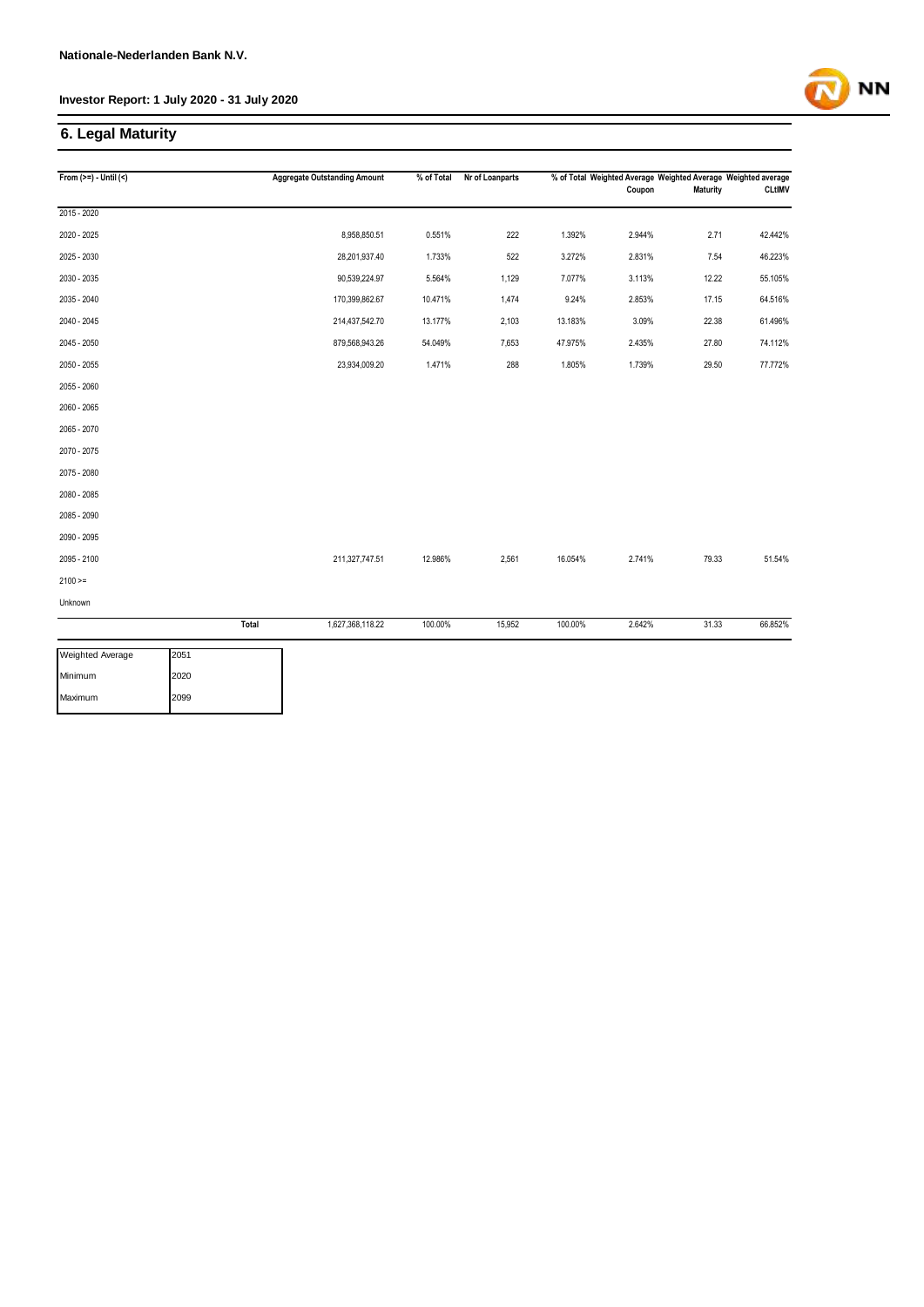## **6. Legal Maturity**

| From $(>=) -$ Until $($         |       | <b>Aggregate Outstanding Amount</b> | % of Total | Nr of Loanparts |         | % of Total Weighted Average Weighted Average Weighted average<br>Coupon | <b>Maturity</b> | <b>CLtIMV</b> |
|---------------------------------|-------|-------------------------------------|------------|-----------------|---------|-------------------------------------------------------------------------|-----------------|---------------|
|                                 |       |                                     |            |                 |         |                                                                         |                 |               |
| 2015 - 2020                     |       |                                     |            |                 |         |                                                                         |                 |               |
| 2020 - 2025                     |       | 8,958,850.51                        | 0.551%     | 222             | 1.392%  | 2.944%                                                                  | 2.71            | 42.442%       |
| 2025 - 2030                     |       | 28,201,937.40                       | 1.733%     | 522             | 3.272%  | 2.831%                                                                  | 7.54            | 46.223%       |
| 2030 - 2035                     |       | 90,539,224.97                       | 5.564%     | 1,129           | 7.077%  | 3.113%                                                                  | 12.22           | 55.105%       |
| 2035 - 2040                     |       | 170,399,862.67                      | 10.471%    | 1,474           | 9.24%   | 2.853%                                                                  | 17.15           | 64.516%       |
| 2040 - 2045                     |       | 214,437,542.70                      | 13.177%    | 2,103           | 13.183% | 3.09%                                                                   | 22.38           | 61.496%       |
| 2045 - 2050                     |       | 879,568,943.26                      | 54.049%    | 7,653           | 47.975% | 2.435%                                                                  | 27.80           | 74.112%       |
| 2050 - 2055                     |       | 23,934,009.20                       | 1.471%     | 288             | 1.805%  | 1.739%                                                                  | 29.50           | 77.772%       |
| 2055 - 2060                     |       |                                     |            |                 |         |                                                                         |                 |               |
| 2060 - 2065                     |       |                                     |            |                 |         |                                                                         |                 |               |
| 2065 - 2070                     |       |                                     |            |                 |         |                                                                         |                 |               |
| 2070 - 2075                     |       |                                     |            |                 |         |                                                                         |                 |               |
| 2075 - 2080                     |       |                                     |            |                 |         |                                                                         |                 |               |
| 2080 - 2085                     |       |                                     |            |                 |         |                                                                         |                 |               |
| 2085 - 2090                     |       |                                     |            |                 |         |                                                                         |                 |               |
| 2090 - 2095                     |       |                                     |            |                 |         |                                                                         |                 |               |
| 2095 - 2100                     |       | 211,327,747.51                      | 12.986%    | 2,561           | 16.054% | 2.741%                                                                  | 79.33           | 51.54%        |
| $2100 >=$                       |       |                                     |            |                 |         |                                                                         |                 |               |
| Unknown                         |       |                                     |            |                 |         |                                                                         |                 |               |
|                                 | Total | 1,627,368,118.22                    | 100.00%    | 15,952          | 100.00% | 2.642%                                                                  | 31.33           | 66.852%       |
| <b>Weighted Average</b><br>2051 |       |                                     |            |                 |         |                                                                         |                 |               |

| weighted Average | 12051 |
|------------------|-------|
| Minimum          | 2020  |
| Maximum          | 2099  |

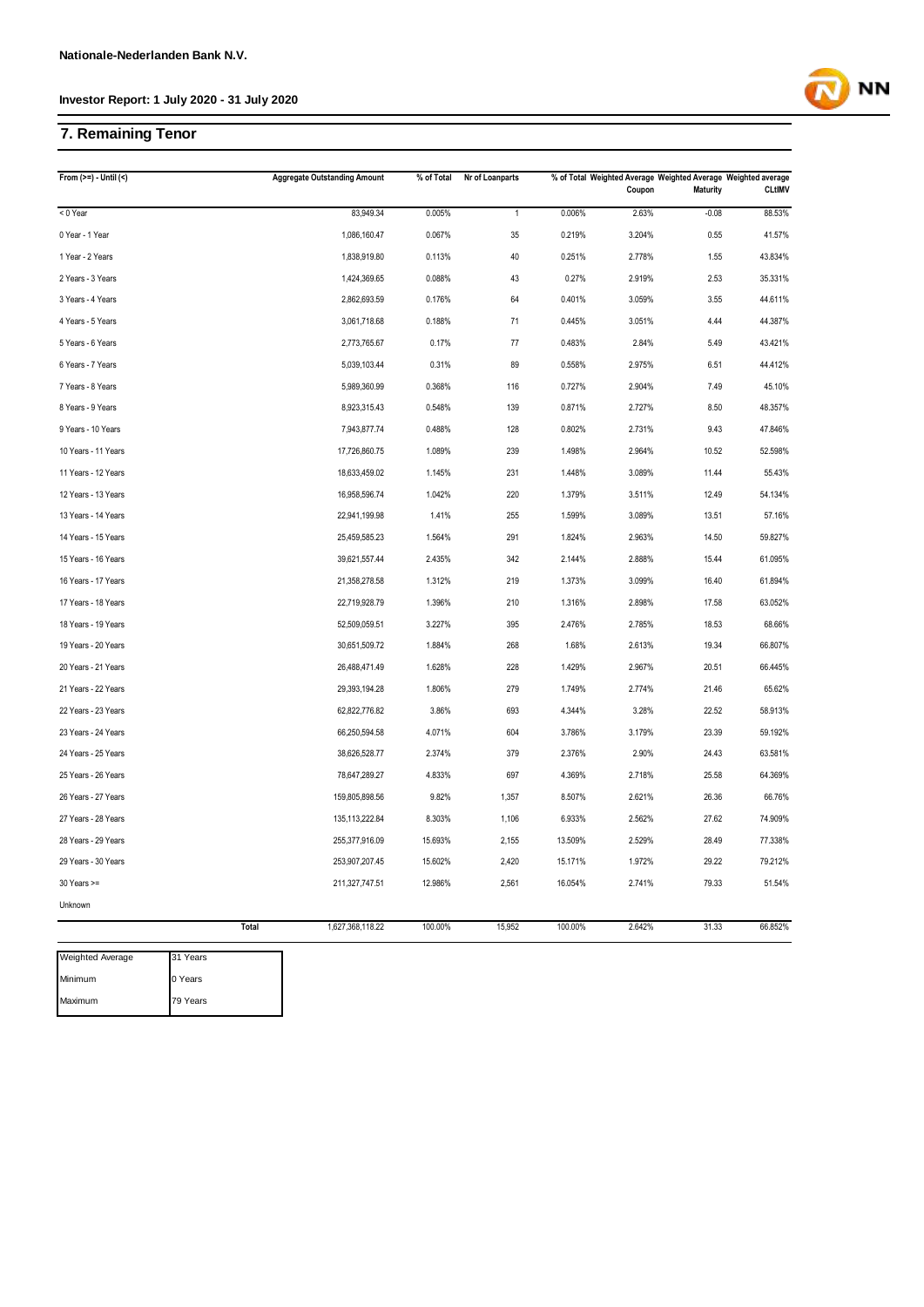## **7. Remaining Tenor**

| From $(>=) -$ Until $($ |       | <b>Aggregate Outstanding Amount</b> | % of Total | Nr of Loanparts |         | Coupon | % of Total Weighted Average Weighted Average Weighted average<br><b>Maturity</b> | <b>CLtIMV</b> |
|-------------------------|-------|-------------------------------------|------------|-----------------|---------|--------|----------------------------------------------------------------------------------|---------------|
| < 0 Year                |       | 83,949.34                           | 0.005%     | $\mathbf{1}$    | 0.006%  | 2.63%  | $-0.08$                                                                          | 88.53%        |
| 0 Year - 1 Year         |       | 1,086,160.47                        | 0.067%     | 35              | 0.219%  | 3.204% | 0.55                                                                             | 41.57%        |
| 1 Year - 2 Years        |       | 1,838,919.80                        | 0.113%     | 40              | 0.251%  | 2.778% | 1.55                                                                             | 43.834%       |
| 2 Years - 3 Years       |       | 1,424,369.65                        | 0.088%     | 43              | 0.27%   | 2.919% | 2.53                                                                             | 35.331%       |
| 3 Years - 4 Years       |       | 2,862,693.59                        | 0.176%     | 64              | 0.401%  | 3.059% | 3.55                                                                             | 44.611%       |
| 4 Years - 5 Years       |       | 3,061,718.68                        | 0.188%     | 71              | 0.445%  | 3.051% | 4.44                                                                             | 44.387%       |
| 5 Years - 6 Years       |       | 2,773,765.67                        | 0.17%      | 77              | 0.483%  | 2.84%  | 5.49                                                                             | 43.421%       |
| 6 Years - 7 Years       |       | 5,039,103.44                        | 0.31%      | 89              | 0.558%  | 2.975% | 6.51                                                                             | 44.412%       |
| 7 Years - 8 Years       |       | 5,989,360.99                        | 0.368%     | 116             | 0.727%  | 2.904% | 7.49                                                                             | 45.10%        |
| 8 Years - 9 Years       |       | 8,923,315.43                        | 0.548%     | 139             | 0.871%  | 2.727% | 8.50                                                                             | 48.357%       |
| 9 Years - 10 Years      |       | 7,943,877.74                        | 0.488%     | 128             | 0.802%  | 2.731% | 9.43                                                                             | 47.846%       |
| 10 Years - 11 Years     |       | 17,726,860.75                       | 1.089%     | 239             | 1.498%  | 2.964% | 10.52                                                                            | 52.598%       |
| 11 Years - 12 Years     |       | 18,633,459.02                       | 1.145%     | 231             | 1.448%  | 3.089% | 11.44                                                                            | 55.43%        |
| 12 Years - 13 Years     |       | 16,958,596.74                       | 1.042%     | 220             | 1.379%  | 3.511% | 12.49                                                                            | 54.134%       |
| 13 Years - 14 Years     |       | 22,941,199.98                       | 1.41%      | 255             | 1.599%  | 3.089% | 13.51                                                                            | 57.16%        |
| 14 Years - 15 Years     |       | 25,459,585.23                       | 1.564%     | 291             | 1.824%  | 2.963% | 14.50                                                                            | 59.827%       |
| 15 Years - 16 Years     |       | 39,621,557.44                       | 2.435%     | 342             | 2.144%  | 2.888% | 15.44                                                                            | 61.095%       |
| 16 Years - 17 Years     |       | 21,358,278.58                       | 1.312%     | 219             | 1.373%  | 3.099% | 16.40                                                                            | 61.894%       |
| 17 Years - 18 Years     |       | 22,719,928.79                       | 1.396%     | 210             | 1.316%  | 2.898% | 17.58                                                                            | 63.052%       |
| 18 Years - 19 Years     |       | 52,509,059.51                       | 3.227%     | 395             | 2.476%  | 2.785% | 18.53                                                                            | 68.66%        |
| 19 Years - 20 Years     |       | 30,651,509.72                       | 1.884%     | 268             | 1.68%   | 2.613% | 19.34                                                                            | 66.807%       |
| 20 Years - 21 Years     |       | 26,488,471.49                       | 1.628%     | 228             | 1.429%  | 2.967% | 20.51                                                                            | 66.445%       |
| 21 Years - 22 Years     |       | 29,393,194.28                       | 1.806%     | 279             | 1.749%  | 2.774% | 21.46                                                                            | 65.62%        |
| 22 Years - 23 Years     |       | 62,822,776.82                       | 3.86%      | 693             | 4.344%  | 3.28%  | 22.52                                                                            | 58.913%       |
| 23 Years - 24 Years     |       | 66,250,594.58                       | 4.071%     | 604             | 3.786%  | 3.179% | 23.39                                                                            | 59.192%       |
| 24 Years - 25 Years     |       | 38,626,528.77                       | 2.374%     | 379             | 2.376%  | 2.90%  | 24.43                                                                            | 63.581%       |
| 25 Years - 26 Years     |       | 78,647,289.27                       | 4.833%     | 697             | 4.369%  | 2.718% | 25.58                                                                            | 64.369%       |
| 26 Years - 27 Years     |       | 159,805,898.56                      | 9.82%      | 1,357           | 8.507%  | 2.621% | 26.36                                                                            | 66.76%        |
| 27 Years - 28 Years     |       | 135,113,222.84                      | 8.303%     | 1,106           | 6.933%  | 2.562% | 27.62                                                                            | 74.909%       |
| 28 Years - 29 Years     |       | 255,377,916.09                      | 15.693%    | 2,155           | 13.509% | 2.529% | 28.49                                                                            | 77.338%       |
| 29 Years - 30 Years     |       | 253,907,207.45                      | 15.602%    | 2,420           | 15.171% | 1.972% | 29.22                                                                            | 79.212%       |
| $30$ Years $>=$         |       | 211,327,747.51                      | 12.986%    | 2,561           | 16.054% | 2.741% | 79.33                                                                            | 51.54%        |
| Unknown                 |       |                                     |            |                 |         |        |                                                                                  |               |
|                         | Total | 1,627,368,118.22                    | 100.00%    | 15,952          | 100.00% | 2.642% | 31.33                                                                            | 66.852%       |



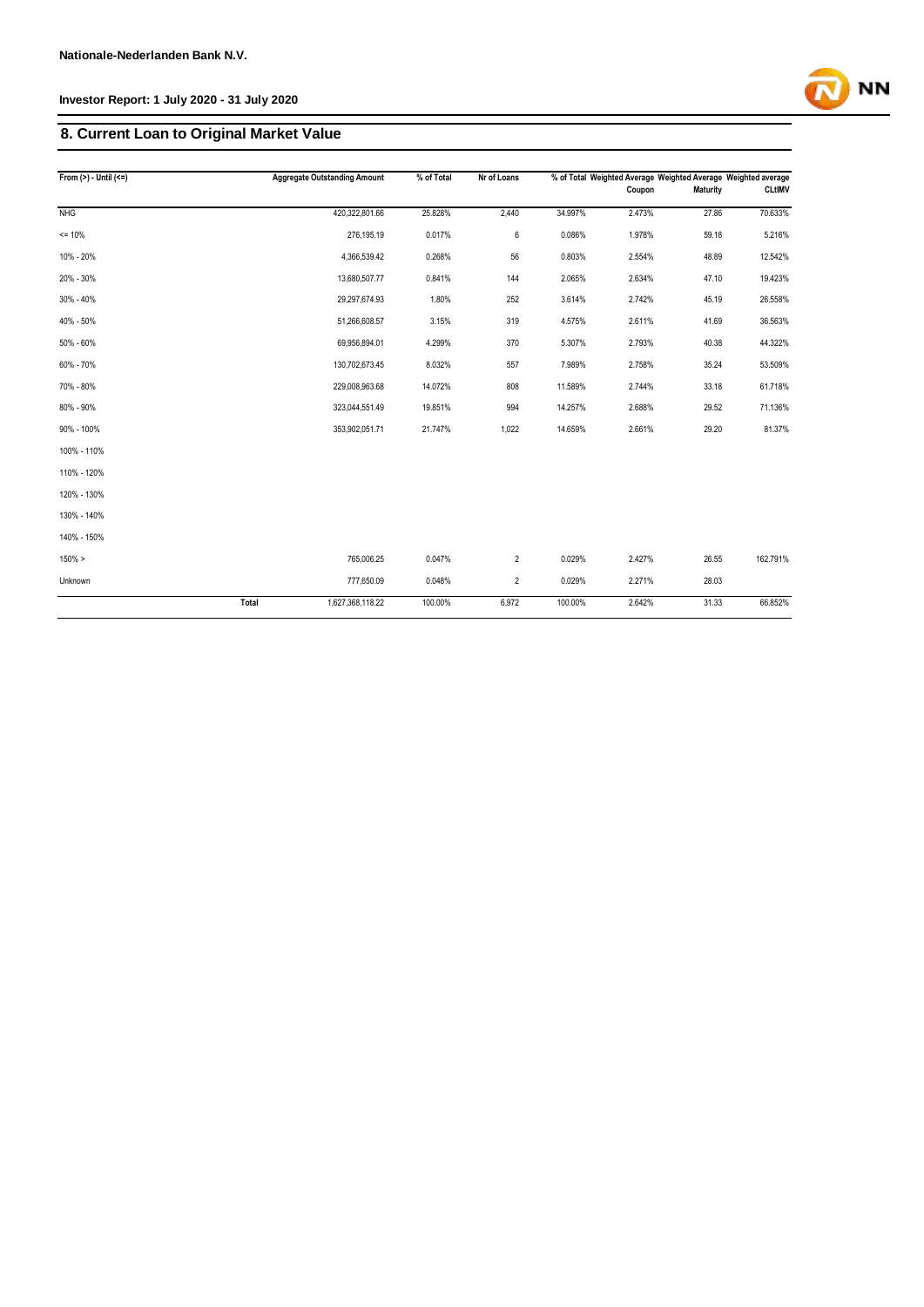# **8. Current Loan to Original Market Value**

| From $(>) -$ Until $(<=)$ |       | <b>Aggregate Outstanding Amount</b> | % of Total | Nr of Loans    |         | Coupon | % of Total Weighted Average Weighted Average Weighted average<br><b>Maturity</b> | <b>CLtIMV</b> |
|---------------------------|-------|-------------------------------------|------------|----------------|---------|--------|----------------------------------------------------------------------------------|---------------|
| <b>NHG</b>                |       | 420,322,801.66                      | 25.828%    | 2,440          | 34.997% | 2.473% | 27.86                                                                            | 70.633%       |
|                           |       |                                     |            |                |         |        |                                                                                  |               |
| $= 10%$                   |       | 276,195.19                          | 0.017%     | 6              | 0.086%  | 1.978% | 59.18                                                                            | 5.216%        |
| 10% - 20%                 |       | 4,366,539.42                        | 0.268%     | 56             | 0.803%  | 2.554% | 48.89                                                                            | 12.542%       |
| 20% - 30%                 |       | 13,680,507.77                       | 0.841%     | 144            | 2.065%  | 2.634% | 47.10                                                                            | 19.423%       |
| 30% - 40%                 |       | 29,297,674.93                       | 1.80%      | 252            | 3.614%  | 2.742% | 45.19                                                                            | 26.558%       |
| 40% - 50%                 |       | 51,266,608.57                       | 3.15%      | 319            | 4.575%  | 2.611% | 41.69                                                                            | 36.563%       |
| 50% - 60%                 |       | 69,956,894.01                       | 4.299%     | 370            | 5.307%  | 2.793% | 40.38                                                                            | 44.322%       |
| 60% - 70%                 |       | 130,702,673.45                      | 8.032%     | 557            | 7.989%  | 2.758% | 35.24                                                                            | 53.509%       |
| 70% - 80%                 |       | 229,008,963.68                      | 14.072%    | 808            | 11.589% | 2.744% | 33.18                                                                            | 61.718%       |
| 80% - 90%                 |       | 323,044,551.49                      | 19.851%    | 994            | 14.257% | 2.688% | 29.52                                                                            | 71.136%       |
| 90% - 100%                |       | 353,902,051.71                      | 21.747%    | 1,022          | 14.659% | 2.661% | 29.20                                                                            | 81.37%        |
| 100% - 110%               |       |                                     |            |                |         |        |                                                                                  |               |
| 110% - 120%               |       |                                     |            |                |         |        |                                                                                  |               |
| 120% - 130%               |       |                                     |            |                |         |        |                                                                                  |               |
| 130% - 140%               |       |                                     |            |                |         |        |                                                                                  |               |
| 140% - 150%               |       |                                     |            |                |         |        |                                                                                  |               |
| 150% >                    |       | 765,006.25                          | 0.047%     | $\overline{2}$ | 0.029%  | 2.427% | 26.55                                                                            | 162.791%      |
| Unknown                   |       | 777,650.09                          | 0.048%     | $\overline{2}$ | 0.029%  | 2.271% | 28.03                                                                            |               |
|                           | Total | 1,627,368,118.22                    | 100.00%    | 6,972          | 100.00% | 2.642% | 31.33                                                                            | 66.852%       |

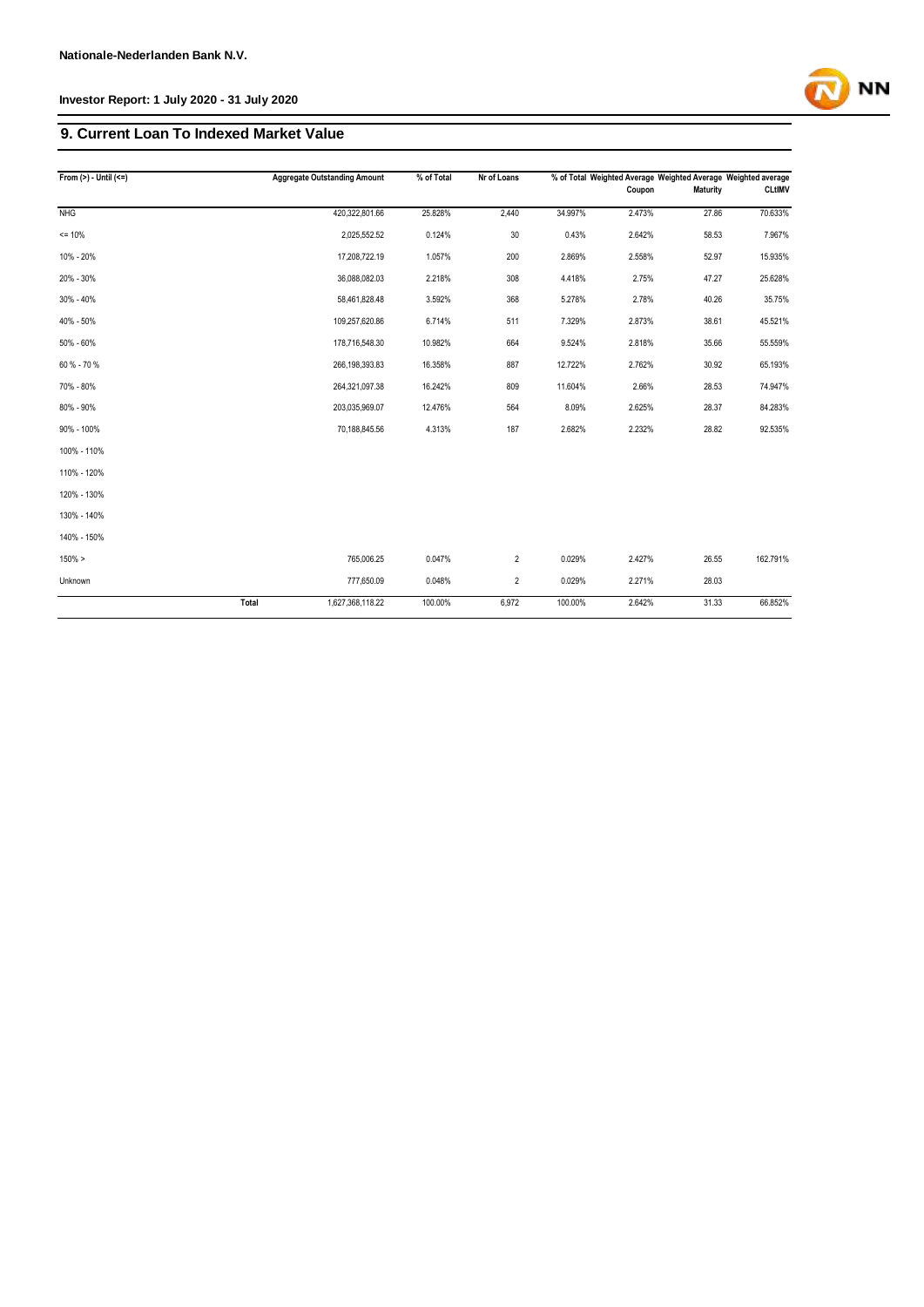## **9. Current Loan To Indexed Market Value**

| From $(>) -$ Until $(<=)$ |       | <b>Aggregate Outstanding Amount</b> | % of Total | Nr of Loans    |         | Coupon | % of Total Weighted Average Weighted Average Weighted average<br>Maturity | <b>CLtIMV</b> |
|---------------------------|-------|-------------------------------------|------------|----------------|---------|--------|---------------------------------------------------------------------------|---------------|
|                           |       |                                     |            |                |         |        |                                                                           |               |
| <b>NHG</b>                |       | 420,322,801.66                      | 25.828%    | 2,440          | 34.997% | 2.473% | 27.86                                                                     | 70.633%       |
| $= 10%$                   |       | 2,025,552.52                        | 0.124%     | 30             | 0.43%   | 2.642% | 58.53                                                                     | 7.967%        |
| 10% - 20%                 |       | 17,208,722.19                       | 1.057%     | 200            | 2.869%  | 2.558% | 52.97                                                                     | 15.935%       |
| 20% - 30%                 |       | 36,088,082.03                       | 2.218%     | 308            | 4.418%  | 2.75%  | 47.27                                                                     | 25.628%       |
| 30% - 40%                 |       | 58,461,828.48                       | 3.592%     | 368            | 5.278%  | 2.78%  | 40.26                                                                     | 35.75%        |
| 40% - 50%                 |       | 109,257,620.86                      | 6.714%     | 511            | 7.329%  | 2.873% | 38.61                                                                     | 45.521%       |
| 50% - 60%                 |       | 178,716,548.30                      | 10.982%    | 664            | 9.524%  | 2.818% | 35.66                                                                     | 55.559%       |
| 60 % - 70 %               |       | 266,198,393.83                      | 16.358%    | 887            | 12.722% | 2.762% | 30.92                                                                     | 65.193%       |
| 70% - 80%                 |       | 264,321,097.38                      | 16.242%    | 809            | 11.604% | 2.66%  | 28.53                                                                     | 74.947%       |
| 80% - 90%                 |       | 203,035,969.07                      | 12.476%    | 564            | 8.09%   | 2.625% | 28.37                                                                     | 84.283%       |
| 90% - 100%                |       | 70,188,845.56                       | 4.313%     | 187            | 2.682%  | 2.232% | 28.82                                                                     | 92.535%       |
| 100% - 110%               |       |                                     |            |                |         |        |                                                                           |               |
| 110% - 120%               |       |                                     |            |                |         |        |                                                                           |               |
| 120% - 130%               |       |                                     |            |                |         |        |                                                                           |               |
| 130% - 140%               |       |                                     |            |                |         |        |                                                                           |               |
| 140% - 150%               |       |                                     |            |                |         |        |                                                                           |               |
| 150% >                    |       | 765,006.25                          | 0.047%     | $\overline{2}$ | 0.029%  | 2.427% | 26.55                                                                     | 162.791%      |
| Unknown                   |       | 777,650.09                          | 0.048%     | $\overline{2}$ | 0.029%  | 2.271% | 28.03                                                                     |               |
|                           | Total | 1,627,368,118.22                    | 100.00%    | 6,972          | 100.00% | 2.642% | 31.33                                                                     | 66.852%       |

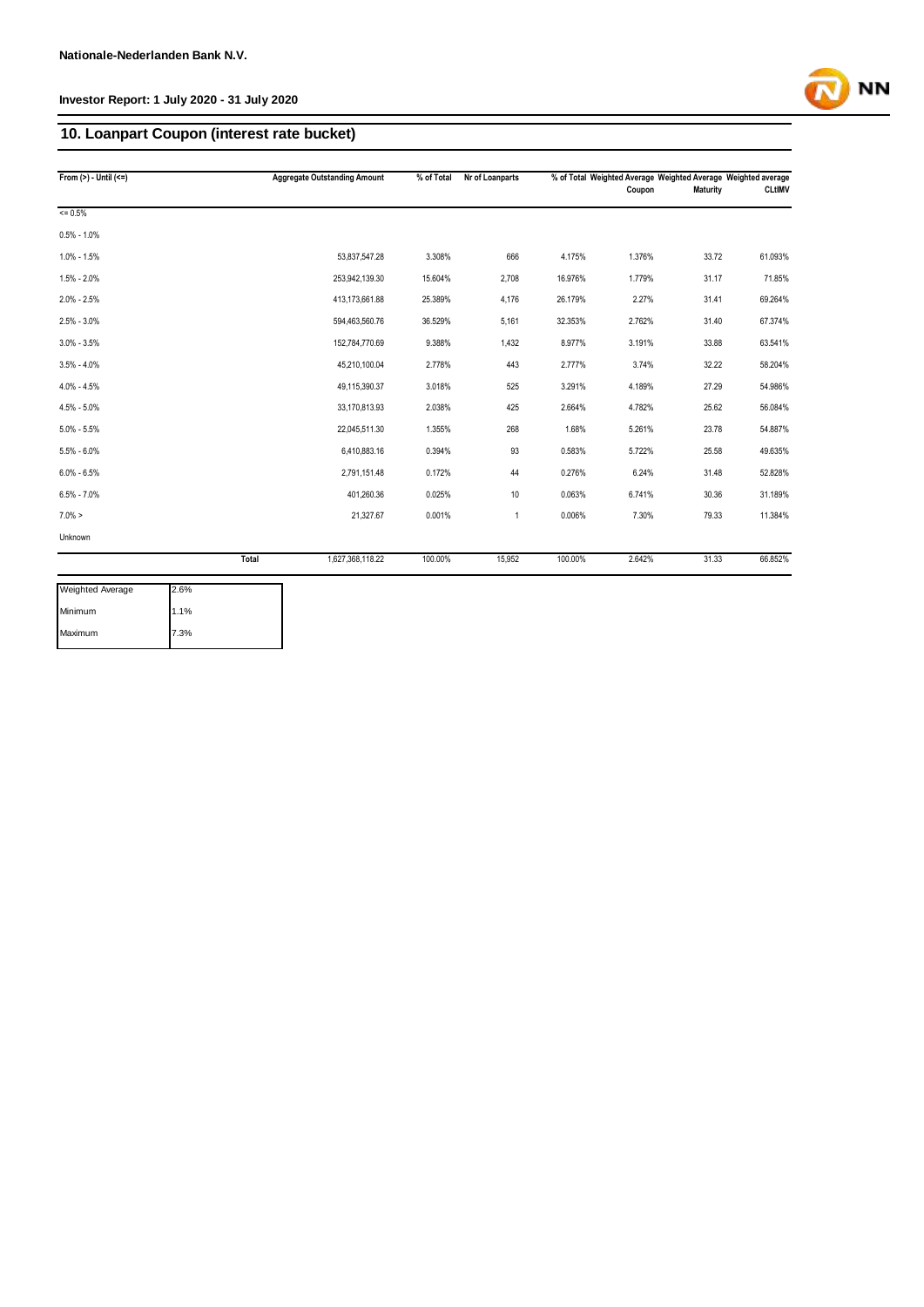## **10. Loanpart Coupon (interest rate bucket)**

| From $(>) -$ Until $(<=)$ |       | <b>Aggregate Outstanding Amount</b> | $\sqrt{\frac{1}{2}}$ of Total | Nr of Loanparts |         | % of Total Weighted Average Weighted Average Weighted average |                 |               |
|---------------------------|-------|-------------------------------------|-------------------------------|-----------------|---------|---------------------------------------------------------------|-----------------|---------------|
|                           |       |                                     |                               |                 |         | Coupon                                                        | <b>Maturity</b> | <b>CLtIMV</b> |
| $= 0.5%$                  |       |                                     |                               |                 |         |                                                               |                 |               |
| $0.5\% - 1.0\%$           |       |                                     |                               |                 |         |                                                               |                 |               |
| $1.0\% - 1.5\%$           |       | 53,837,547.28                       | 3.308%                        | 666             | 4.175%  | 1.376%                                                        | 33.72           | 61.093%       |
| $1.5\% - 2.0\%$           |       | 253,942,139.30                      | 15.604%                       | 2,708           | 16.976% | 1.779%                                                        | 31.17           | 71.85%        |
| $2.0\% - 2.5\%$           |       | 413,173,661.88                      | 25.389%                       | 4,176           | 26.179% | 2.27%                                                         | 31.41           | 69.264%       |
| $2.5\% - 3.0\%$           |       | 594,463,560.76                      | 36.529%                       | 5,161           | 32.353% | 2.762%                                                        | 31.40           | 67.374%       |
| $3.0\% - 3.5\%$           |       | 152,784,770.69                      | 9.388%                        | 1,432           | 8.977%  | 3.191%                                                        | 33.88           | 63.541%       |
| $3.5\% - 4.0\%$           |       | 45,210,100.04                       | 2.778%                        | 443             | 2.777%  | 3.74%                                                         | 32.22           | 58.204%       |
| $4.0\% - 4.5\%$           |       | 49,115,390.37                       | 3.018%                        | 525             | 3.291%  | 4.189%                                                        | 27.29           | 54.986%       |
| $4.5\% - 5.0\%$           |       | 33,170,813.93                       | 2.038%                        | 425             | 2.664%  | 4.782%                                                        | 25.62           | 56.084%       |
| $5.0\% - 5.5\%$           |       | 22,045,511.30                       | 1.355%                        | 268             | 1.68%   | 5.261%                                                        | 23.78           | 54.887%       |
| $5.5\% - 6.0\%$           |       | 6,410,883.16                        | 0.394%                        | 93              | 0.583%  | 5.722%                                                        | 25.58           | 49.635%       |
| $6.0\% - 6.5\%$           |       | 2,791,151.48                        | 0.172%                        | 44              | 0.276%  | 6.24%                                                         | 31.48           | 52.828%       |
| $6.5\% - 7.0\%$           |       | 401,260.36                          | 0.025%                        | 10              | 0.063%  | 6.741%                                                        | 30.36           | 31.189%       |
| $7.0\% >$                 |       | 21,327.67                           | 0.001%                        | $\mathbf{1}$    | 0.006%  | 7.30%                                                         | 79.33           | 11.384%       |
| Unknown                   |       |                                     |                               |                 |         |                                                               |                 |               |
|                           | Total | 1,627,368,118.22                    | 100.00%                       | 15.952          | 100.00% | 2.642%                                                        | 31.33           | 66.852%       |

| Weighted Average | 2.6% |
|------------------|------|
| Minimum          | 1.1% |
| Maximum          | 7.3% |

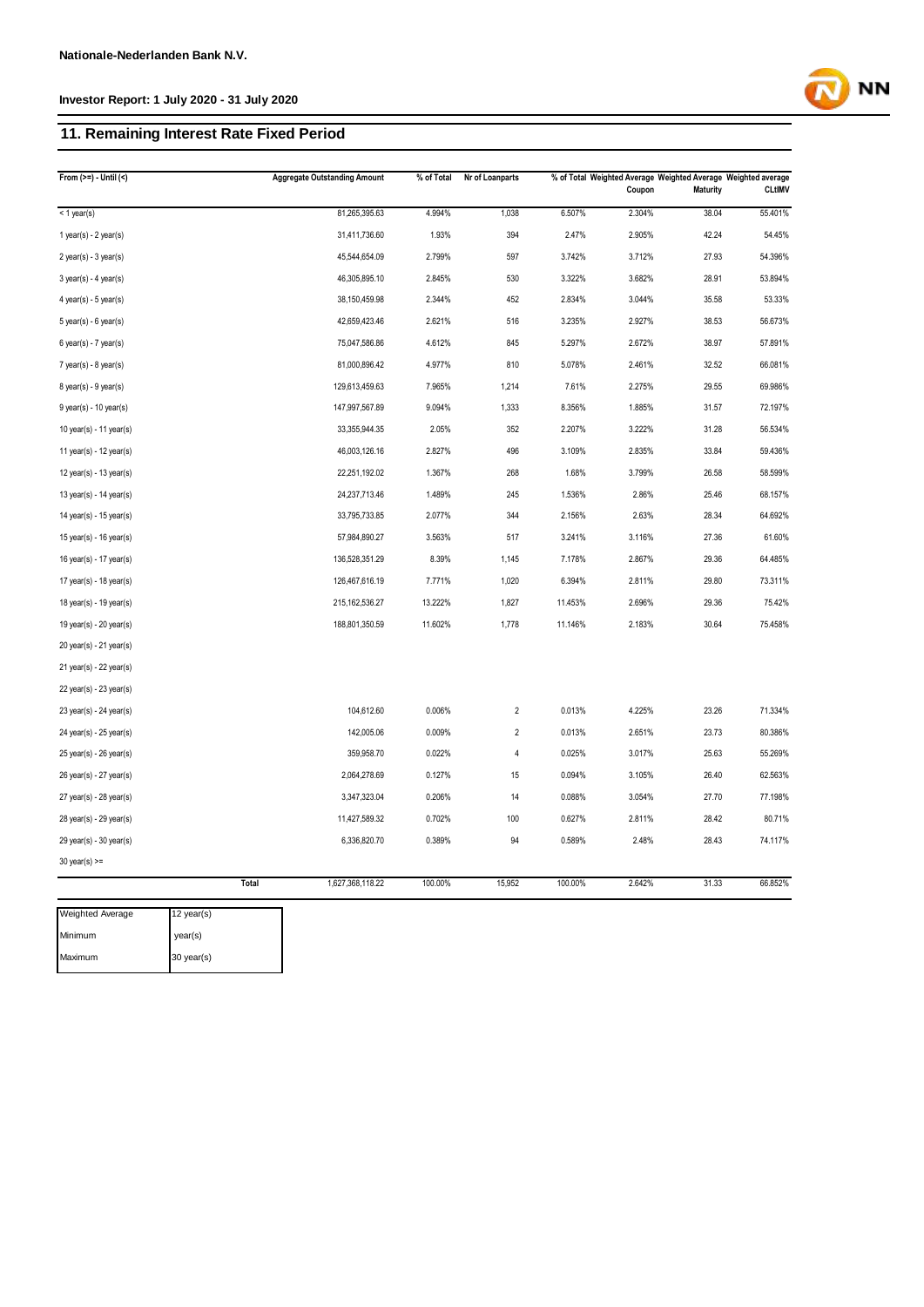## **11. Remaining Interest Rate Fixed Period**

|                           | <b>Aggregate Outstanding Amount</b> | % of Total | Nr of Loanparts |         | Coupon | <b>Maturity</b> | % of Total Weighted Average Weighted Average Weighted average<br><b>CLtIMV</b> |
|---------------------------|-------------------------------------|------------|-----------------|---------|--------|-----------------|--------------------------------------------------------------------------------|
| $<$ 1 year(s)             | 81,265,395.63                       | 4.994%     | 1,038           | 6.507%  | 2.304% | 38.04           | 55.401%                                                                        |
| 1 year(s) - $2$ year(s)   | 31,411,736.60                       | 1.93%      | 394             | 2.47%   | 2.905% | 42.24           | 54.45%                                                                         |
| $2$ year(s) - $3$ year(s) | 45,544,654.09                       | 2.799%     | 597             | 3.742%  | 3.712% | 27.93           | 54.396%                                                                        |
| $3$ year(s) - 4 year(s)   | 46,305,895.10                       | 2.845%     | 530             | 3.322%  | 3.682% | 28.91           | 53.894%                                                                        |
| $4$ year(s) - $5$ year(s) | 38,150,459.98                       | 2.344%     | 452             | 2.834%  | 3.044% | 35.58           | 53.33%                                                                         |
| 5 year(s) - 6 year(s)     | 42,659,423.46                       | 2.621%     | 516             | 3.235%  | 2.927% | 38.53           | 56.673%                                                                        |
| $6$ year(s) - $7$ year(s) | 75,047,586.86                       | 4.612%     | 845             | 5.297%  | 2.672% | 38.97           | 57.891%                                                                        |
| $7$ year(s) - $8$ year(s) | 81,000,896.42                       | 4.977%     | 810             | 5.078%  | 2.461% | 32.52           | 66.081%                                                                        |
| $8$ year(s) - $9$ year(s) | 129,613,459.63                      | 7.965%     | 1,214           | 7.61%   | 2.275% | 29.55           | 69.986%                                                                        |
| $9$ year(s) - 10 year(s)  | 147,997,567.89                      | 9.094%     | 1,333           | 8.356%  | 1.885% | 31.57           | 72.197%                                                                        |
| 10 year(s) - 11 year(s)   | 33,355,944.35                       | 2.05%      | 352             | 2.207%  | 3.222% | 31.28           | 56.534%                                                                        |
| 11 year(s) - 12 year(s)   | 46,003,126.16                       | 2.827%     | 496             | 3.109%  | 2.835% | 33.84           | 59.436%                                                                        |
| 12 year(s) - 13 year(s)   | 22,251,192.02                       | 1.367%     | 268             | 1.68%   | 3.799% | 26.58           | 58.599%                                                                        |
| 13 year(s) - 14 year(s)   | 24,237,713.46                       | 1.489%     | 245             | 1.536%  | 2.86%  | 25.46           | 68.157%                                                                        |
| 14 year(s) - 15 year(s)   | 33,795,733.85                       | 2.077%     | 344             | 2.156%  | 2.63%  | 28.34           | 64.692%                                                                        |
| 15 year(s) - 16 year(s)   | 57,984,890.27                       | 3.563%     | 517             | 3.241%  | 3.116% | 27.36           | 61.60%                                                                         |
| 16 year(s) - 17 year(s)   | 136,528,351.29                      | 8.39%      | 1,145           | 7.178%  | 2.867% | 29.36           | 64.485%                                                                        |
| 17 year(s) - 18 year(s)   | 126,467,616.19                      | 7.771%     | 1,020           | 6.394%  | 2.811% | 29.80           | 73.311%                                                                        |
| 18 year(s) - 19 year(s)   | 215, 162, 536. 27                   | 13.222%    | 1,827           | 11.453% | 2.696% | 29.36           | 75.42%                                                                         |
| 19 year(s) - 20 year(s)   | 188,801,350.59                      | 11.602%    | 1,778           | 11.146% | 2.183% | 30.64           | 75.458%                                                                        |
| 20 year(s) - 21 year(s)   |                                     |            |                 |         |        |                 |                                                                                |
| 21 year(s) - 22 year(s)   |                                     |            |                 |         |        |                 |                                                                                |
| 22 year(s) - 23 year(s)   |                                     |            |                 |         |        |                 |                                                                                |
| 23 year(s) - 24 year(s)   | 104,612.60                          | 0.006%     | $\sqrt{2}$      | 0.013%  | 4.225% | 23.26           | 71.334%                                                                        |
| 24 year(s) - 25 year(s)   | 142,005.06                          | 0.009%     | $\sqrt{2}$      | 0.013%  | 2.651% | 23.73           | 80.386%                                                                        |
| 25 year(s) - 26 year(s)   | 359,958.70                          | 0.022%     | 4               | 0.025%  | 3.017% | 25.63           | 55.269%                                                                        |
| 26 year(s) - 27 year(s)   | 2,064,278.69                        | 0.127%     | 15              | 0.094%  | 3.105% | 26.40           | 62.563%                                                                        |
| 27 year(s) - 28 year(s)   | 3,347,323.04                        | 0.206%     | 14              | 0.088%  | 3.054% | 27.70           | 77.198%                                                                        |
| 28 year(s) - 29 year(s)   | 11,427,589.32                       | 0.702%     | 100             | 0.627%  | 2.811% | 28.42           | 80.71%                                                                         |
| 29 year(s) - 30 year(s)   | 6,336,820.70                        | 0.389%     | 94              | 0.589%  | 2.48%  | 28.43           | 74.117%                                                                        |
| $30$ year(s) >=           |                                     |            |                 |         |        |                 |                                                                                |
|                           | <b>Total</b><br>1,627,368,118.22    | 100.00%    | 15,952          | 100.00% | 2.642% | 31.33           | 66.852%                                                                        |

| <b>Weighted Average</b> | 12 year(s) |
|-------------------------|------------|
| <b>Minimum</b>          | year(s)    |
| Maximum                 | 30 year(s) |

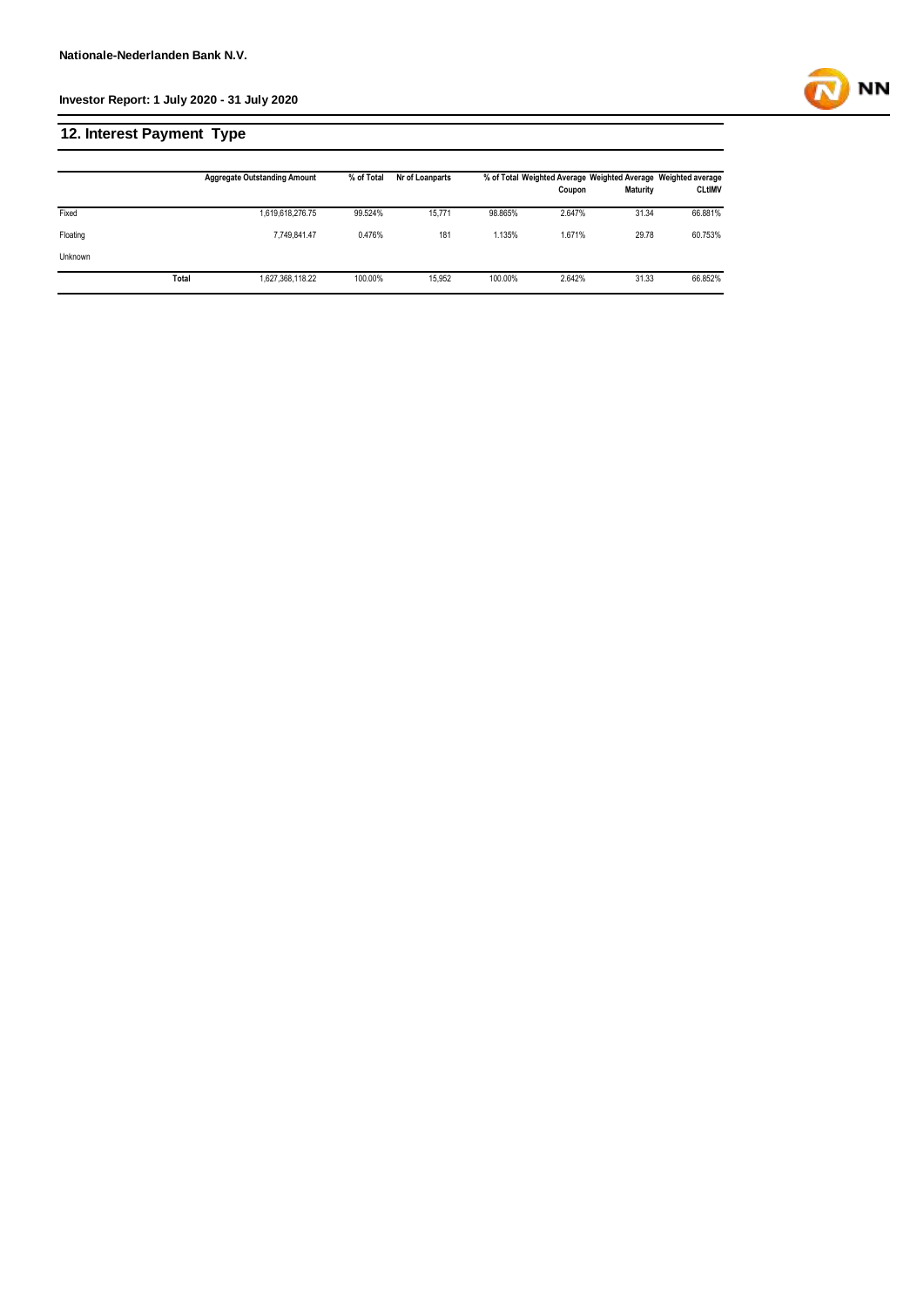

# **12. Interest Payment Type**

|                |       | <b>Aggregate Outstanding Amount</b> | % of Total | Nr of Loanparts |         | Coupon | % of Total Weighted Average Weighted Average Weighted average<br>Maturity | <b>CLtIMV</b> |
|----------------|-------|-------------------------------------|------------|-----------------|---------|--------|---------------------------------------------------------------------------|---------------|
| Fixed          |       | 1,619,618,276.75                    | 99.524%    | 15.771          | 98.865% | 2.647% | 31.34                                                                     | 66.881%       |
| Floating       |       | 7.749.841.47                        | 0.476%     | 181             | 1.135%  | 1.671% | 29.78                                                                     | 60.753%       |
| <b>Unknown</b> |       |                                     |            |                 |         |        |                                                                           |               |
|                | Total | 1,627,368,118.22                    | 100.00%    | 15,952          | 100.00% | 2.642% | 31.33                                                                     | 66.852%       |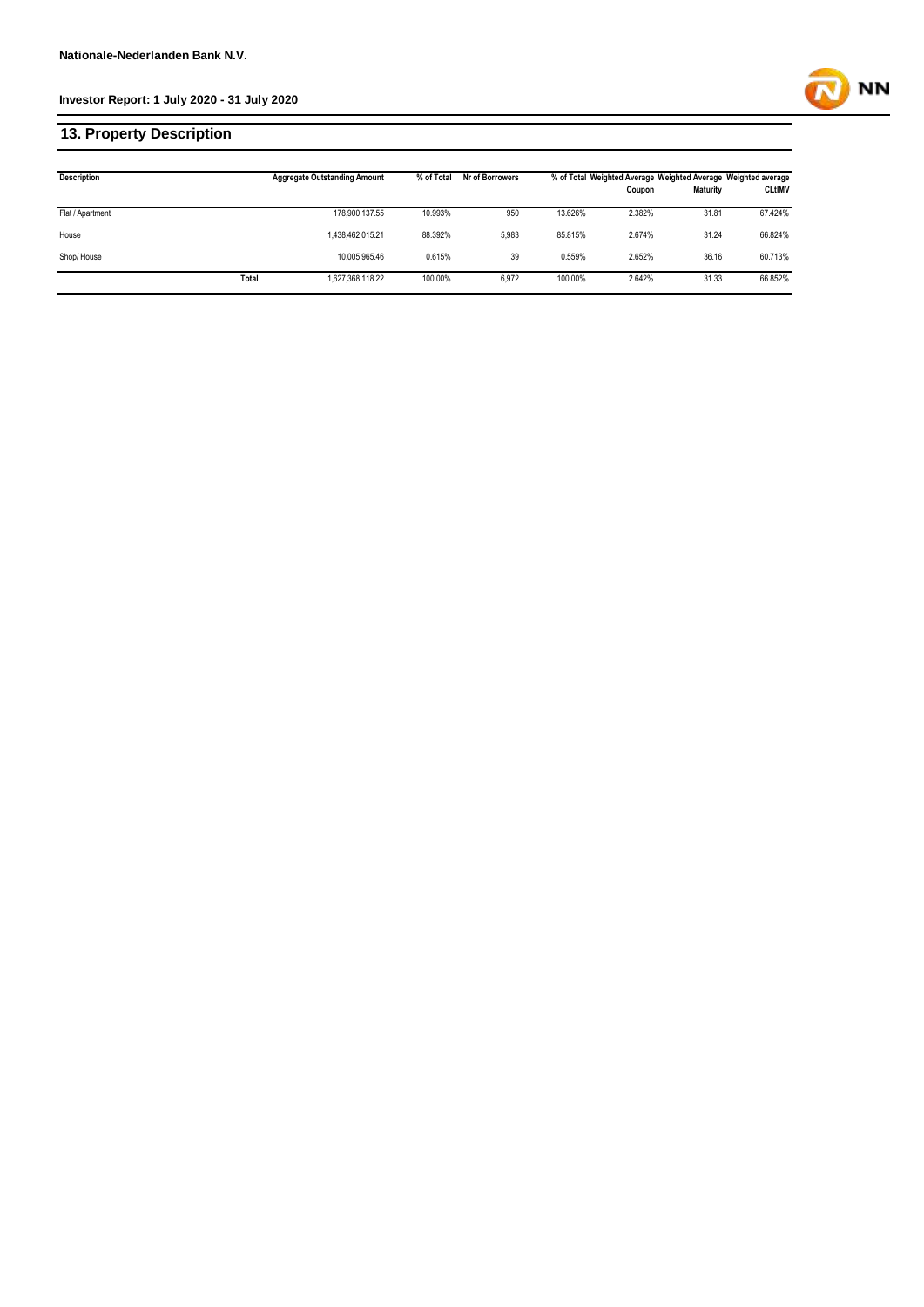## **13. Property Description**

| <b>Description</b> |       | <b>Aggregate Outstanding Amount</b> | % of Total | Nr of Borrowers |         | % of Total Weighted Average Weighted Average Weighted average |                 |               |
|--------------------|-------|-------------------------------------|------------|-----------------|---------|---------------------------------------------------------------|-----------------|---------------|
|                    |       |                                     |            |                 |         | Coupon                                                        | <b>Maturity</b> | <b>CLtIMV</b> |
| Flat / Apartment   |       | 178,900,137.55                      | 10.993%    | 950             | 13.626% | 2.382%                                                        | 31.81           | 67.424%       |
| House              |       | 1,438,462,015.21                    | 88.392%    | 5,983           | 85.815% | 2.674%                                                        | 31.24           | 66.824%       |
| Shop/House         |       | 10.005.965.46                       | 0.615%     | 39              | 0.559%  | 2.652%                                                        | 36.16           | 60.713%       |
|                    | Total | 1,627,368,118.22                    | 100.00%    | 6,972           | 100.00% | 2.642%                                                        | 31.33           | 66.852%       |

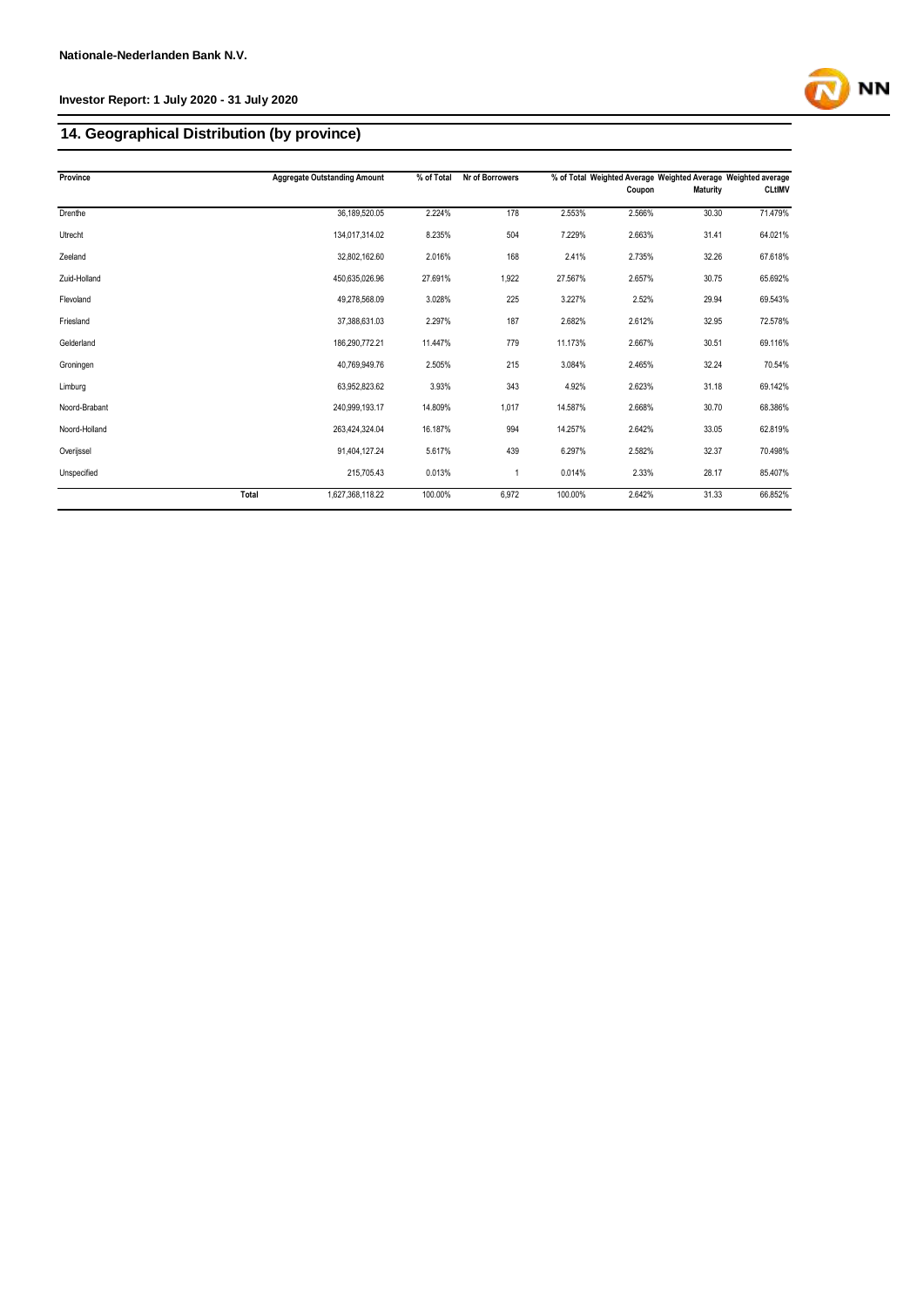# **14. Geographical Distribution (by province)**

| Province      |       | <b>Aggregate Outstanding Amount</b> | % of Total | Nr of Borrowers |         |        | % of Total Weighted Average Weighted Average Weighted average |               |
|---------------|-------|-------------------------------------|------------|-----------------|---------|--------|---------------------------------------------------------------|---------------|
|               |       |                                     |            |                 |         | Coupon | <b>Maturity</b>                                               | <b>CLtIMV</b> |
| Drenthe       |       | 36,189,520.05                       | 2.224%     | 178             | 2.553%  | 2.566% | 30.30                                                         | 71.479%       |
| Utrecht       |       | 134,017,314.02                      | 8.235%     | 504             | 7.229%  | 2.663% | 31.41                                                         | 64.021%       |
| Zeeland       |       | 32,802,162.60                       | 2.016%     | 168             | 2.41%   | 2.735% | 32.26                                                         | 67.618%       |
| Zuid-Holland  |       | 450,635,026.96                      | 27.691%    | 1,922           | 27.567% | 2.657% | 30.75                                                         | 65.692%       |
| Flevoland     |       | 49,278,568.09                       | 3.028%     | 225             | 3.227%  | 2.52%  | 29.94                                                         | 69.543%       |
| Friesland     |       | 37,388,631.03                       | 2.297%     | 187             | 2.682%  | 2.612% | 32.95                                                         | 72.578%       |
| Gelderland    |       | 186,290,772.21                      | 11.447%    | 779             | 11.173% | 2.667% | 30.51                                                         | 69.116%       |
| Groningen     |       | 40,769,949.76                       | 2.505%     | 215             | 3.084%  | 2.465% | 32.24                                                         | 70.54%        |
| Limburg       |       | 63,952,823.62                       | 3.93%      | 343             | 4.92%   | 2.623% | 31.18                                                         | 69.142%       |
| Noord-Brabant |       | 240,999,193.17                      | 14.809%    | 1,017           | 14.587% | 2.668% | 30.70                                                         | 68.386%       |
| Noord-Holland |       | 263,424,324.04                      | 16.187%    | 994             | 14.257% | 2.642% | 33.05                                                         | 62.819%       |
| Overijssel    |       | 91,404,127.24                       | 5.617%     | 439             | 6.297%  | 2.582% | 32.37                                                         | 70.498%       |
| Unspecified   |       | 215,705.43                          | 0.013%     |                 | 0.014%  | 2.33%  | 28.17                                                         | 85.407%       |
|               | Total | 1,627,368,118.22                    | 100.00%    | 6,972           | 100.00% | 2.642% | 31.33                                                         | 66.852%       |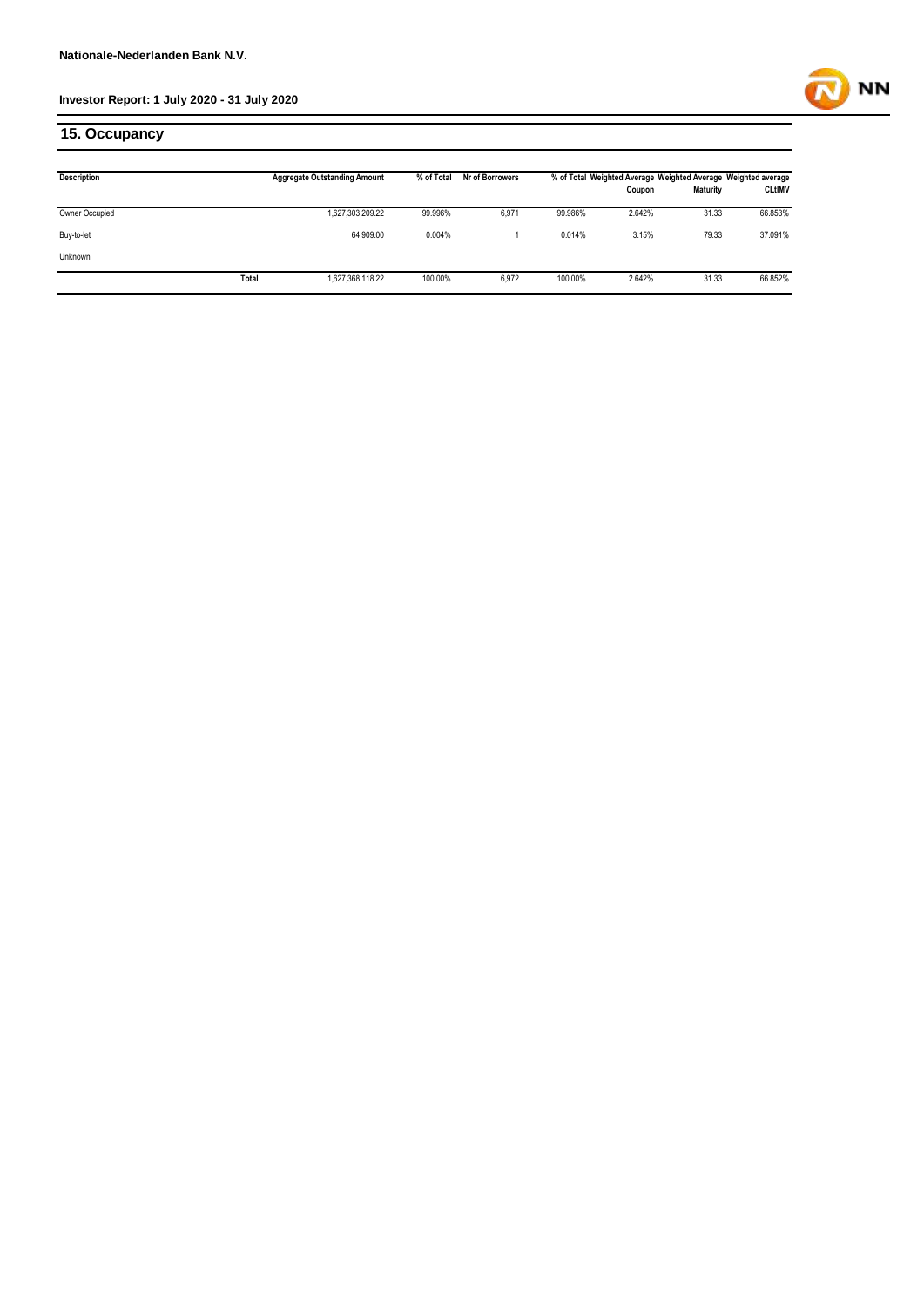

## **15. Occupancy**

| <b>Description</b> |       | <b>Aggregate Outstanding Amount</b> | % of Total | Nr of Borrowers | % of Total Weighted Average Weighted Average Weighted average |        |                 |               |  |
|--------------------|-------|-------------------------------------|------------|-----------------|---------------------------------------------------------------|--------|-----------------|---------------|--|
|                    |       |                                     |            |                 |                                                               | Coupon | <b>Maturity</b> | <b>CLtIMV</b> |  |
| Owner Occupied     |       | 1,627,303,209.22                    | 99.996%    | 6,971           | 99.986%                                                       | 2.642% | 31.33           | 66.853%       |  |
| Buy-to-let         |       | 64,909.00                           | 0.004%     |                 | 0.014%                                                        | 3.15%  | 79.33           | 37.091%       |  |
| Unknown            |       |                                     |            |                 |                                                               |        |                 |               |  |
|                    | Total | 1,627,368,118.22                    | 100.00%    | 6,972           | 100.00%                                                       | 2.642% | 31.33           | 66.852%       |  |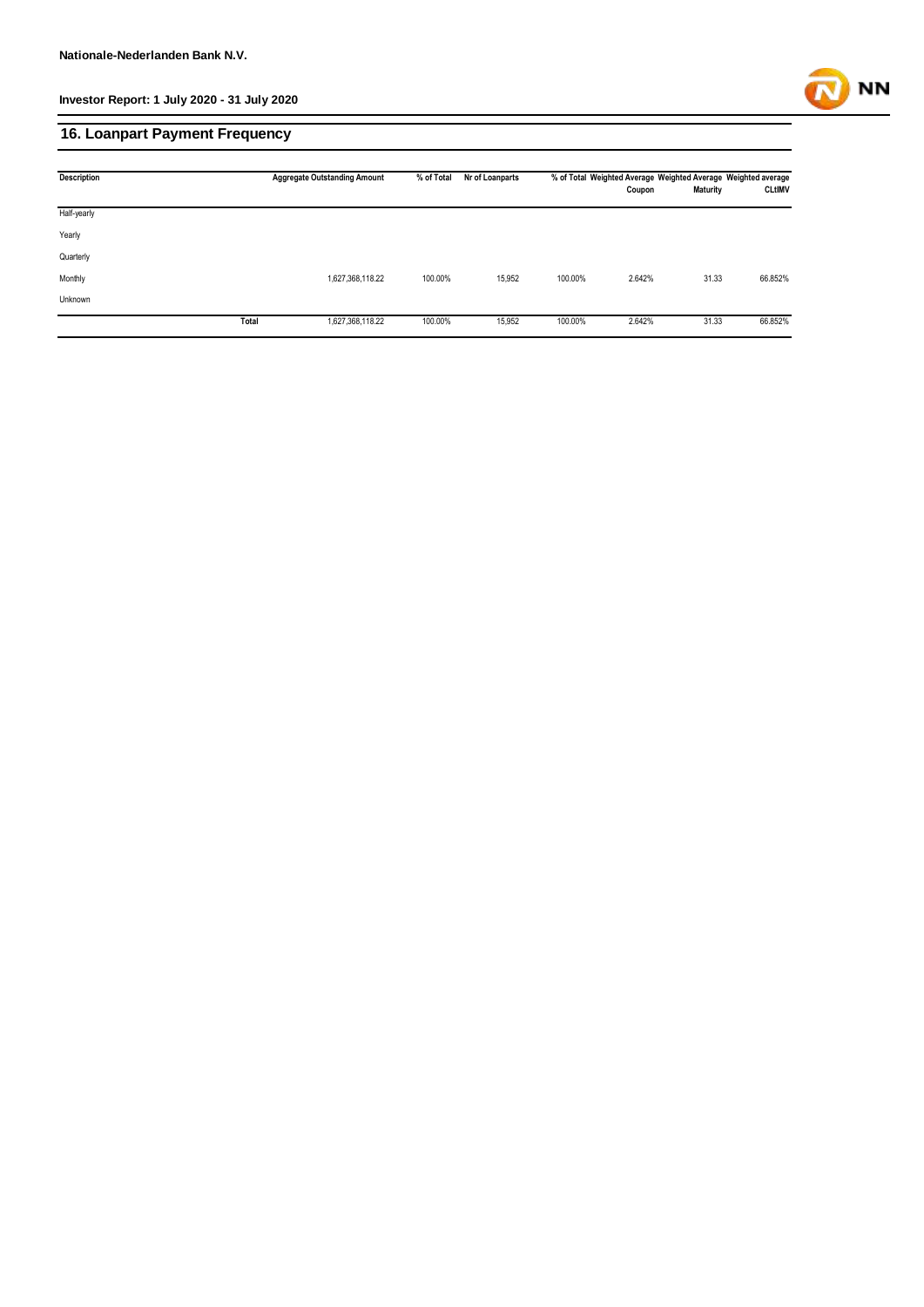

## **16. Loanpart Payment Frequency**

| <b>Description</b> |       | <b>Aggregate Outstanding Amount</b> | % of Total | Nr of Loanparts | % of Total Weighted Average Weighted Average Weighted average |        |                 |               |
|--------------------|-------|-------------------------------------|------------|-----------------|---------------------------------------------------------------|--------|-----------------|---------------|
|                    |       |                                     |            |                 |                                                               | Coupon | <b>Maturity</b> | <b>CLtIMV</b> |
| Half-yearly        |       |                                     |            |                 |                                                               |        |                 |               |
| Yearly             |       |                                     |            |                 |                                                               |        |                 |               |
| Quarterly          |       |                                     |            |                 |                                                               |        |                 |               |
| Monthly            |       | 1,627,368,118.22                    | 100.00%    | 15,952          | 100.00%                                                       | 2.642% | 31.33           | 66.852%       |
| Unknown            |       |                                     |            |                 |                                                               |        |                 |               |
|                    | Total | 1,627,368,118.22                    | 100.00%    | 15,952          | 100.00%                                                       | 2.642% | 31.33           | 66.852%       |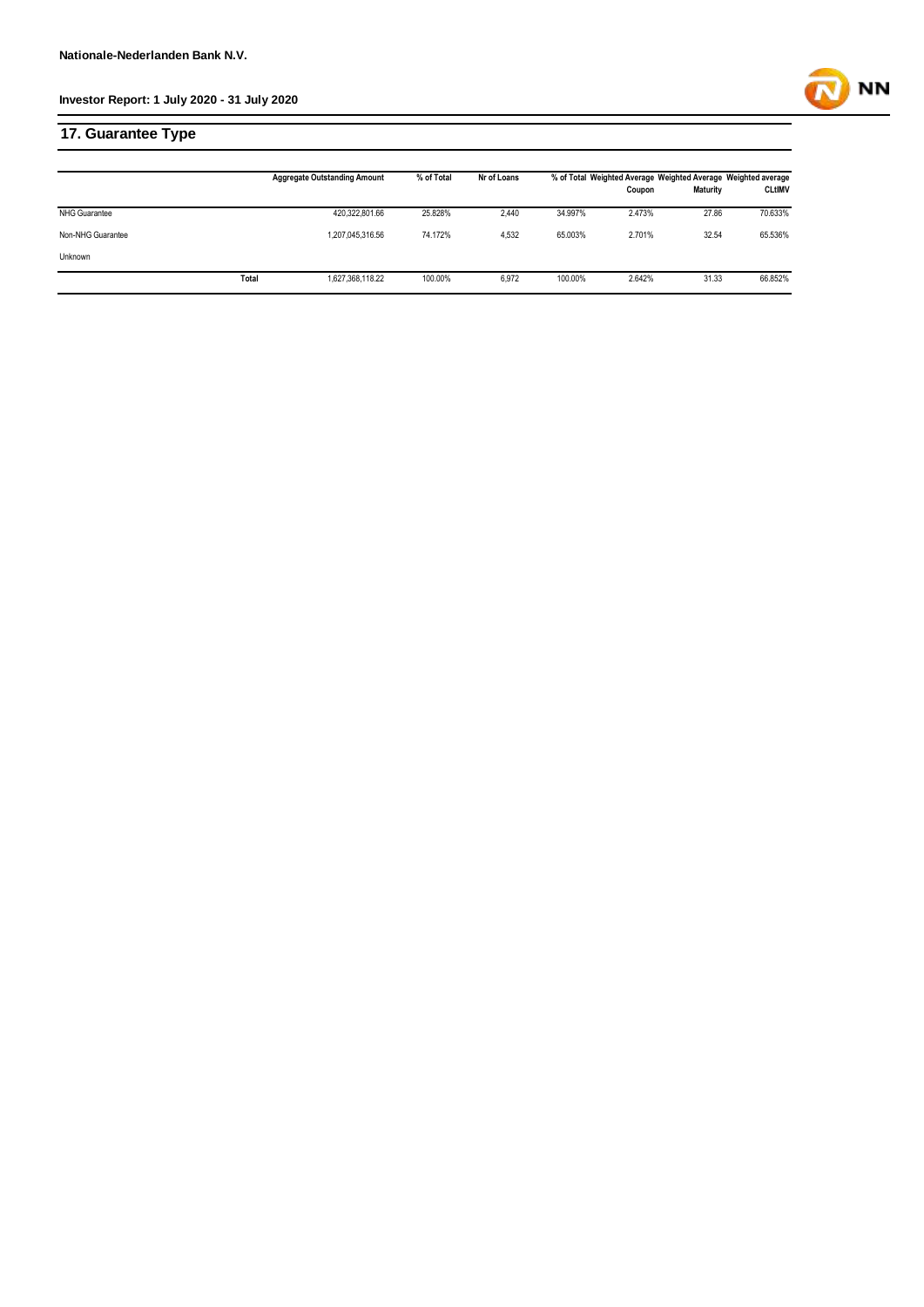

## **17. Guarantee Type**

|                      |       | <b>Aggregate Outstanding Amount</b> | % of Total | Nr of Loans | % of Total Weighted Average Weighted Average Weighted average |        |                 |               |
|----------------------|-------|-------------------------------------|------------|-------------|---------------------------------------------------------------|--------|-----------------|---------------|
|                      |       |                                     |            |             |                                                               | Coupon | <b>Maturity</b> | <b>CLtIMV</b> |
| <b>NHG Guarantee</b> |       | 420,322,801.66                      | 25.828%    | 2.440       | 34.997%                                                       | 2.473% | 27.86           | 70.633%       |
| Non-NHG Guarantee    |       | 1,207,045,316.56                    | 74.172%    | 4.532       | 65.003%                                                       | 2.701% | 32.54           | 65.536%       |
| Unknown              |       |                                     |            |             |                                                               |        |                 |               |
|                      | Total | 1,627,368,118.22                    | 100.00%    | 6,972       | 100.00%                                                       | 2.642% | 31.33           | 66.852%       |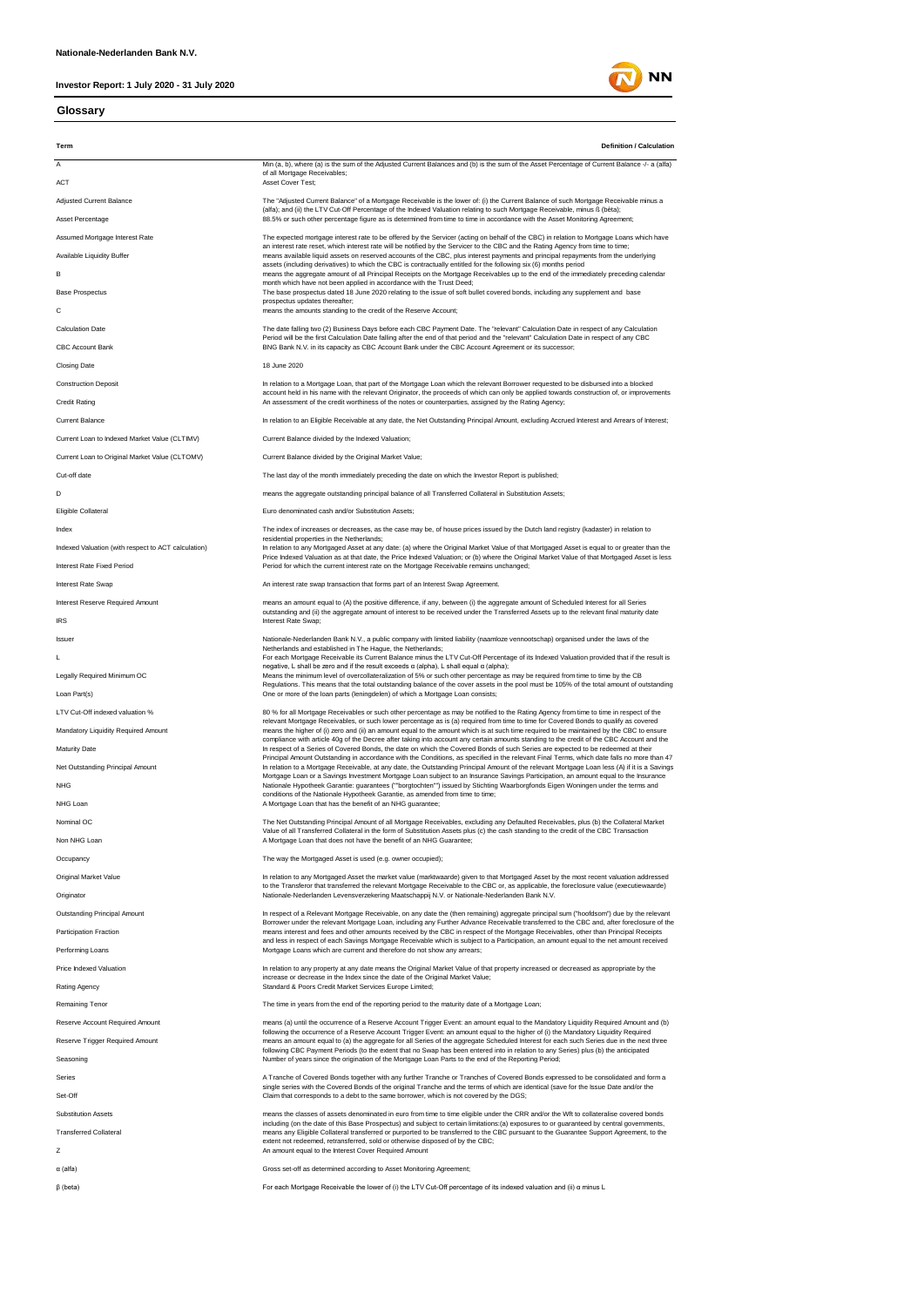#### **Glossary**



**NN**